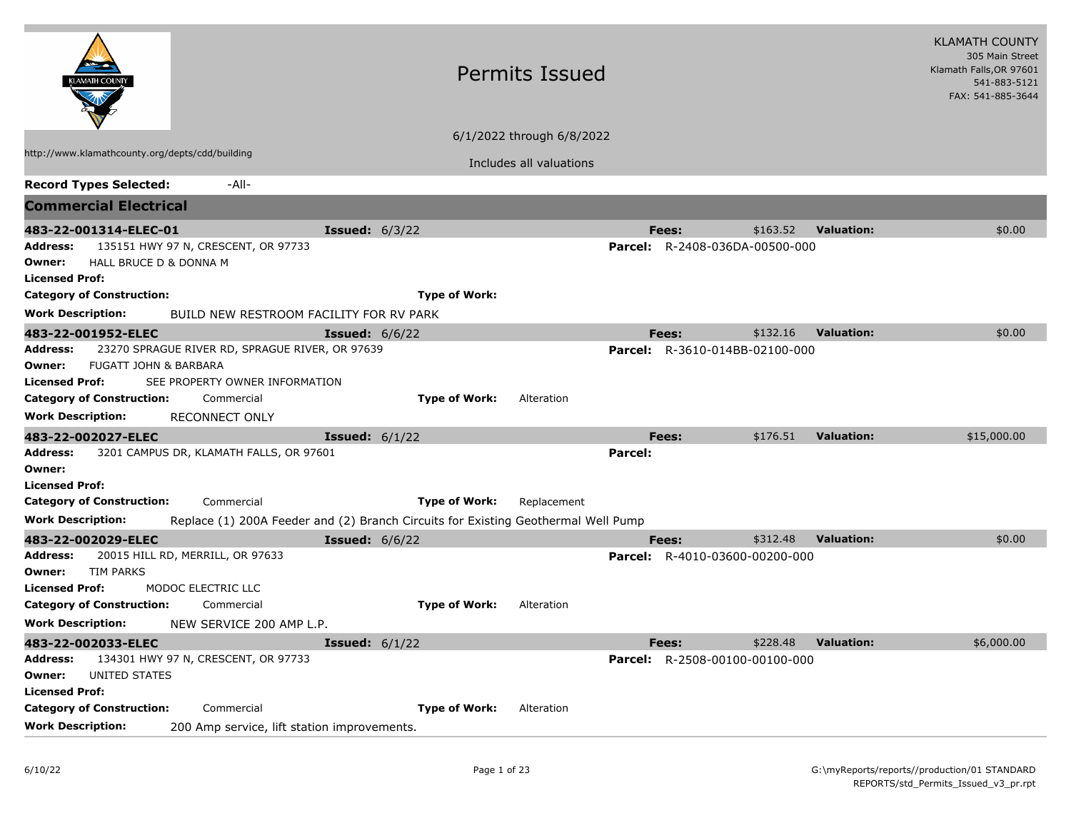|                                                                                                              |                                                                                   | <b>Permits Issued</b>     |                                       | <b>KLAMATH COUNTY</b><br>305 Main Street<br>Klamath Falls, OR 97601<br>541-883-5121<br>FAX: 541-885-3644 |  |
|--------------------------------------------------------------------------------------------------------------|-----------------------------------------------------------------------------------|---------------------------|---------------------------------------|----------------------------------------------------------------------------------------------------------|--|
|                                                                                                              |                                                                                   | 6/1/2022 through 6/8/2022 |                                       |                                                                                                          |  |
| http://www.klamathcounty.org/depts/cdd/building                                                              |                                                                                   | Includes all valuations   |                                       |                                                                                                          |  |
| <b>Record Types Selected:</b><br>-All-                                                                       |                                                                                   |                           |                                       |                                                                                                          |  |
| <b>Commercial Electrical</b>                                                                                 |                                                                                   |                           |                                       |                                                                                                          |  |
| 483-22-001314-ELEC-01                                                                                        | <b>Issued:</b> $6/3/22$                                                           |                           | \$163.52<br>Fees:                     | <b>Valuation:</b><br>\$0.00                                                                              |  |
| 135151 HWY 97 N, CRESCENT, OR 97733<br>Address:<br>HALL BRUCE D & DONNA M<br>Owner:<br><b>Licensed Prof:</b> |                                                                                   |                           | <b>Parcel:</b> R-2408-036DA-00500-000 |                                                                                                          |  |
| <b>Category of Construction:</b>                                                                             | <b>Type of Work:</b>                                                              |                           |                                       |                                                                                                          |  |
| <b>Work Description:</b><br>BUILD NEW RESTROOM FACILITY FOR RV PARK                                          |                                                                                   |                           |                                       |                                                                                                          |  |
| 483-22-001952-ELEC                                                                                           | <b>Issued:</b> $6/6/22$                                                           |                           | \$132.16<br>Fees:                     | <b>Valuation:</b><br>\$0.00                                                                              |  |
| Address:<br>23270 SPRAGUE RIVER RD, SPRAGUE RIVER, OR 97639                                                  |                                                                                   | <b>Parcel:</b>            | R-3610-014BB-02100-000                |                                                                                                          |  |
| <b>FUGATT JOHN &amp; BARBARA</b><br>Owner:                                                                   |                                                                                   |                           |                                       |                                                                                                          |  |
| <b>Licensed Prof:</b><br>SEE PROPERTY OWNER INFORMATION                                                      |                                                                                   |                           |                                       |                                                                                                          |  |
| <b>Category of Construction:</b><br>Commercial                                                               | <b>Type of Work:</b>                                                              | Alteration                |                                       |                                                                                                          |  |
| <b>Work Description:</b><br><b>RECONNECT ONLY</b>                                                            |                                                                                   |                           |                                       |                                                                                                          |  |
| 483-22-002027-ELEC                                                                                           | <b>Issued:</b> $6/1/22$                                                           |                           | \$176.51<br>Fees:                     | <b>Valuation:</b><br>\$15,000.00                                                                         |  |
| 3201 CAMPUS DR, KLAMATH FALLS, OR 97601<br>Address:<br>Owner:                                                |                                                                                   | <b>Parcel:</b>            |                                       |                                                                                                          |  |
| <b>Licensed Prof:</b>                                                                                        |                                                                                   |                           |                                       |                                                                                                          |  |
| <b>Category of Construction:</b><br>Commercial                                                               | <b>Type of Work:</b>                                                              | Replacement               |                                       |                                                                                                          |  |
| <b>Work Description:</b>                                                                                     | Replace (1) 200A Feeder and (2) Branch Circuits for Existing Geothermal Well Pump |                           |                                       |                                                                                                          |  |
| 483-22-002029-ELEC                                                                                           | <b>Issued:</b> $6/6/22$                                                           |                           | \$312.48<br>Fees:                     | <b>Valuation:</b><br>\$0.00                                                                              |  |
| 20015 HILL RD, MERRILL, OR 97633<br>Address:                                                                 |                                                                                   |                           | <b>Parcel:</b> R-4010-03600-00200-000 |                                                                                                          |  |
| <b>TIM PARKS</b><br>Owner:                                                                                   |                                                                                   |                           |                                       |                                                                                                          |  |
| <b>Licensed Prof:</b><br>MODOC ELECTRIC LLC                                                                  |                                                                                   |                           |                                       |                                                                                                          |  |
| <b>Category of Construction:</b><br>Commercial                                                               | <b>Type of Work:</b>                                                              | Alteration                |                                       |                                                                                                          |  |
| Work Description:<br>NEW SERVICE 200 AMP L.P.                                                                |                                                                                   |                           |                                       |                                                                                                          |  |
| 483-22-002033-ELEC                                                                                           | <b>Issued:</b> $6/1/22$                                                           |                           | \$228.48<br>Fees:                     | <b>Valuation:</b><br>\$6,000.00                                                                          |  |
| Address:<br>134301 HWY 97 N, CRESCENT, OR 97733                                                              |                                                                                   |                           | <b>Parcel:</b> R-2508-00100-00100-000 |                                                                                                          |  |
| Owner:<br>UNITED STATES                                                                                      |                                                                                   |                           |                                       |                                                                                                          |  |
| <b>Licensed Prof:</b><br><b>Category of Construction:</b><br>Commercial                                      | <b>Type of Work:</b>                                                              | Alteration                |                                       |                                                                                                          |  |
| <b>Work Description:</b>                                                                                     |                                                                                   |                           |                                       |                                                                                                          |  |
| 200 Amp service, lift station improvements.                                                                  |                                                                                   |                           |                                       |                                                                                                          |  |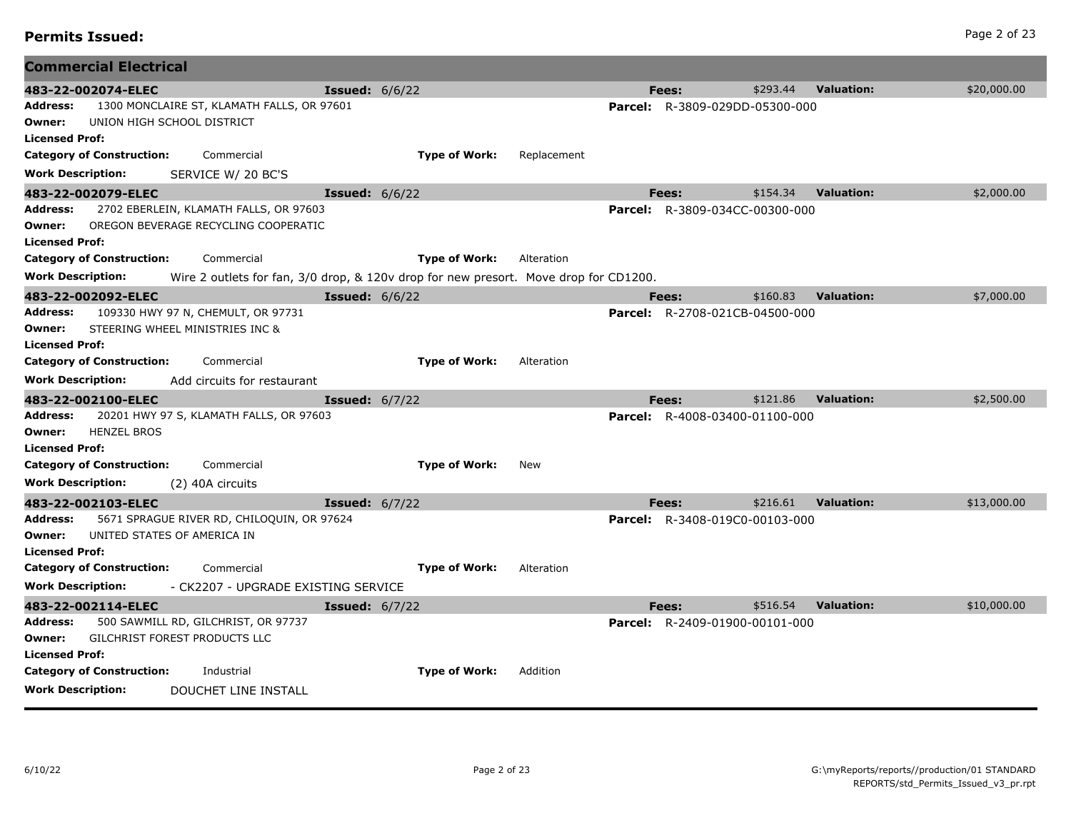| <b>Permits Issued:</b> | Page 2 of 23 |
|------------------------|--------------|
|------------------------|--------------|

|                                 | <b>Commercial Electrical</b>     |                                                                                      |                         |                      |             |                                       |          |                   |             |
|---------------------------------|----------------------------------|--------------------------------------------------------------------------------------|-------------------------|----------------------|-------------|---------------------------------------|----------|-------------------|-------------|
|                                 | 483-22-002074-ELEC               |                                                                                      | <b>Issued:</b> $6/6/22$ |                      |             | Fees:                                 | \$293.44 | <b>Valuation:</b> | \$20,000.00 |
| <b>Address:</b>                 |                                  | 1300 MONCLAIRE ST, KLAMATH FALLS, OR 97601                                           |                         |                      |             | <b>Parcel:</b> R-3809-029DD-05300-000 |          |                   |             |
| Owner:                          |                                  | UNION HIGH SCHOOL DISTRICT                                                           |                         |                      |             |                                       |          |                   |             |
| <b>Licensed Prof:</b>           |                                  |                                                                                      |                         |                      |             |                                       |          |                   |             |
|                                 | <b>Category of Construction:</b> | Commercial                                                                           |                         | <b>Type of Work:</b> | Replacement |                                       |          |                   |             |
| <b>Work Description:</b>        |                                  | SERVICE W/ 20 BC'S                                                                   |                         |                      |             |                                       |          |                   |             |
|                                 | 483-22-002079-ELEC               |                                                                                      | <b>Issued:</b> $6/6/22$ |                      |             | Fees:                                 | \$154.34 | <b>Valuation:</b> | \$2,000.00  |
| Address:                        |                                  | 2702 EBERLEIN, KLAMATH FALLS, OR 97603                                               |                         |                      |             | <b>Parcel:</b> R-3809-034CC-00300-000 |          |                   |             |
| Owner:                          |                                  | OREGON BEVERAGE RECYCLING COOPERATIC                                                 |                         |                      |             |                                       |          |                   |             |
| <b>Licensed Prof:</b>           |                                  |                                                                                      |                         |                      |             |                                       |          |                   |             |
|                                 | <b>Category of Construction:</b> | Commercial                                                                           |                         | <b>Type of Work:</b> | Alteration  |                                       |          |                   |             |
| <b>Work Description:</b>        |                                  | Wire 2 outlets for fan, 3/0 drop, & 120v drop for new presort. Move drop for CD1200. |                         |                      |             |                                       |          |                   |             |
|                                 | 483-22-002092-ELEC               |                                                                                      | <b>Issued:</b> 6/6/22   |                      |             | Fees:                                 | \$160.83 | <b>Valuation:</b> | \$7,000.00  |
| <b>Address:</b>                 |                                  | 109330 HWY 97 N, CHEMULT, OR 97731                                                   |                         |                      |             | <b>Parcel:</b> R-2708-021CB-04500-000 |          |                   |             |
| Owner:<br><b>Licensed Prof:</b> |                                  | STEERING WHEEL MINISTRIES INC &                                                      |                         |                      |             |                                       |          |                   |             |
|                                 | <b>Category of Construction:</b> | Commercial                                                                           |                         | <b>Type of Work:</b> | Alteration  |                                       |          |                   |             |
| <b>Work Description:</b>        |                                  | Add circuits for restaurant                                                          |                         |                      |             |                                       |          |                   |             |
|                                 |                                  |                                                                                      |                         |                      |             |                                       |          |                   |             |
|                                 |                                  |                                                                                      |                         |                      |             |                                       |          |                   |             |
|                                 | 483-22-002100-ELEC               |                                                                                      | <b>Issued:</b> 6/7/22   |                      |             | Fees:                                 | \$121.86 | <b>Valuation:</b> | \$2,500.00  |
| <b>Address:</b>                 |                                  | 20201 HWY 97 S, KLAMATH FALLS, OR 97603                                              |                         |                      |             | <b>Parcel:</b> R-4008-03400-01100-000 |          |                   |             |
| Owner:                          | <b>HENZEL BROS</b>               |                                                                                      |                         |                      |             |                                       |          |                   |             |
| <b>Licensed Prof:</b>           | <b>Category of Construction:</b> | Commercial                                                                           |                         | <b>Type of Work:</b> | New         |                                       |          |                   |             |
| <b>Work Description:</b>        |                                  |                                                                                      |                         |                      |             |                                       |          |                   |             |
|                                 |                                  | (2) 40A circuits                                                                     |                         |                      |             |                                       |          |                   |             |
| Address:                        | 483-22-002103-ELEC               |                                                                                      | <b>Issued:</b> $6/7/22$ |                      |             | Fees:                                 | \$216.61 | <b>Valuation:</b> | \$13,000.00 |
| Owner:                          |                                  | 5671 SPRAGUE RIVER RD, CHILOQUIN, OR 97624<br>UNITED STATES OF AMERICA IN            |                         |                      |             | <b>Parcel:</b> R-3408-019C0-00103-000 |          |                   |             |
| <b>Licensed Prof:</b>           |                                  |                                                                                      |                         |                      |             |                                       |          |                   |             |
|                                 | <b>Category of Construction:</b> | Commercial                                                                           |                         | <b>Type of Work:</b> | Alteration  |                                       |          |                   |             |
| <b>Work Description:</b>        |                                  | - CK2207 - UPGRADE EXISTING SERVICE                                                  |                         |                      |             |                                       |          |                   |             |
|                                 | 483-22-002114-ELEC               |                                                                                      | <b>Issued:</b> $6/7/22$ |                      |             | Fees:                                 | \$516.54 | <b>Valuation:</b> | \$10,000.00 |
| Address:                        |                                  | 500 SAWMILL RD, GILCHRIST, OR 97737                                                  |                         |                      |             | <b>Parcel:</b> R-2409-01900-00101-000 |          |                   |             |
| Owner:                          |                                  | GILCHRIST FOREST PRODUCTS LLC                                                        |                         |                      |             |                                       |          |                   |             |
| <b>Licensed Prof:</b>           |                                  |                                                                                      |                         |                      |             |                                       |          |                   |             |
|                                 | <b>Category of Construction:</b> | Industrial                                                                           |                         | <b>Type of Work:</b> | Addition    |                                       |          |                   |             |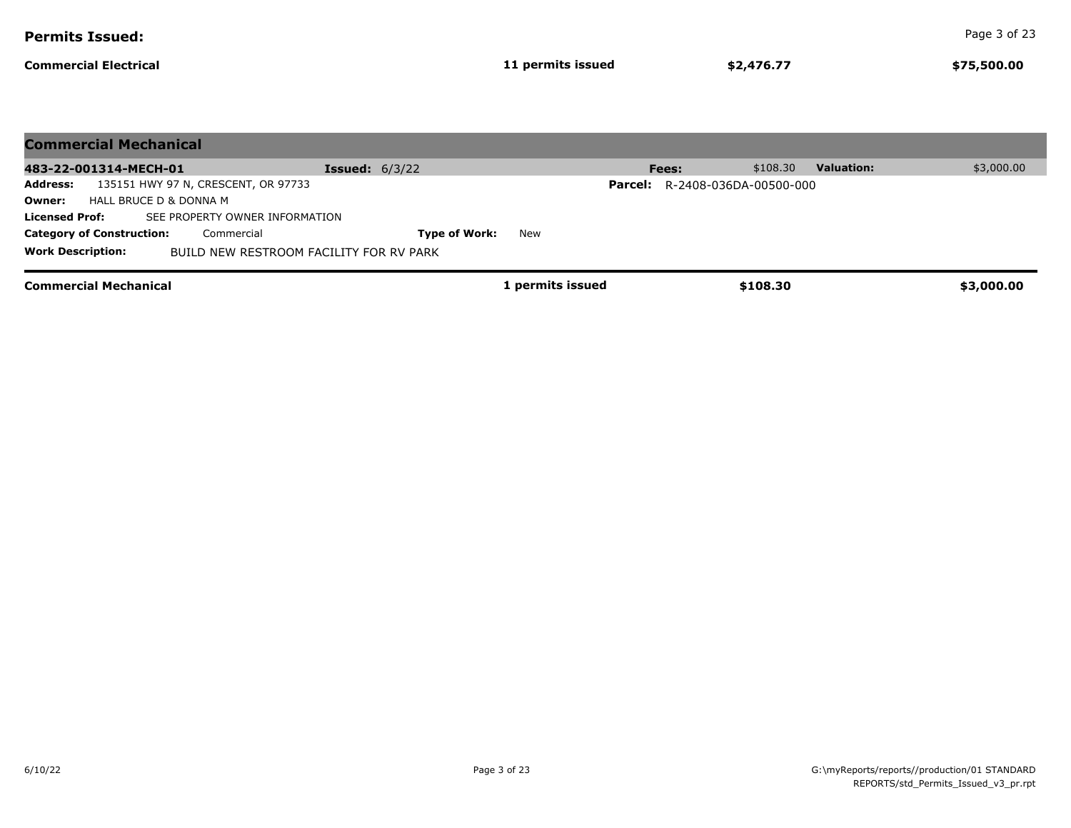| <b>Permits Issued:</b>                                                                     |                         |                   |       |                                       |                   | Page 3 of 23 |
|--------------------------------------------------------------------------------------------|-------------------------|-------------------|-------|---------------------------------------|-------------------|--------------|
| <b>Commercial Electrical</b>                                                               |                         | 11 permits issued |       | \$2,476.77                            |                   | \$75,500.00  |
|                                                                                            |                         |                   |       |                                       |                   |              |
| <b>Commercial Mechanical</b>                                                               |                         |                   |       |                                       |                   |              |
| 483-22-001314-MECH-01                                                                      | <b>Issued:</b> $6/3/22$ |                   | Fees: | \$108.30                              | <b>Valuation:</b> | \$3,000.00   |
| 135151 HWY 97 N, CRESCENT, OR 97733<br><b>Address:</b><br>HALL BRUCE D & DONNA M<br>Owner: |                         |                   |       | <b>Parcel:</b> R-2408-036DA-00500-000 |                   |              |
| <b>Licensed Prof:</b><br>SEE PROPERTY OWNER INFORMATION                                    |                         |                   |       |                                       |                   |              |
| <b>Category of Construction:</b><br>Commercial                                             | <b>Type of Work:</b>    | New               |       |                                       |                   |              |
| <b>Work Description:</b><br>BUILD NEW RESTROOM FACILITY FOR RV PARK                        |                         |                   |       |                                       |                   |              |
| <b>Commercial Mechanical</b>                                                               |                         | 1 permits issued  |       | \$108.30                              |                   | \$3,000.00   |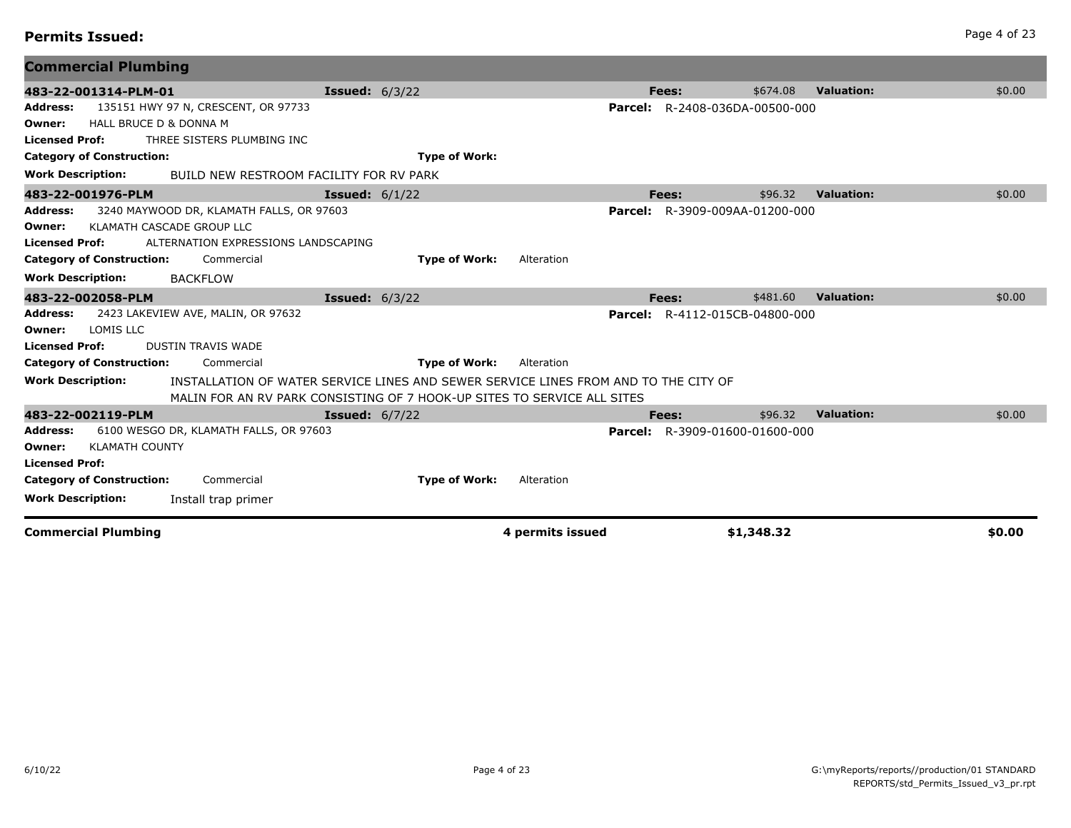| <b>Permits Issued:</b> | Page 4 of 23 |
|------------------------|--------------|
|------------------------|--------------|

| <b>Commercial Plumbing</b>                                                                                                                                                                                           |                                                                                                                                                                |                  |                                       |            |                   |        |
|----------------------------------------------------------------------------------------------------------------------------------------------------------------------------------------------------------------------|----------------------------------------------------------------------------------------------------------------------------------------------------------------|------------------|---------------------------------------|------------|-------------------|--------|
| 483-22-001314-PLM-01                                                                                                                                                                                                 | <b>Issued:</b> 6/3/22                                                                                                                                          |                  | Fees:                                 | \$674.08   | <b>Valuation:</b> | \$0.00 |
| 135151 HWY 97 N, CRESCENT, OR 97733<br><b>Address:</b><br>HALL BRUCE D & DONNA M<br>Owner:<br><b>Licensed Prof:</b><br>THREE SISTERS PLUMBING INC                                                                    |                                                                                                                                                                |                  | <b>Parcel:</b> R-2408-036DA-00500-000 |            |                   |        |
| <b>Category of Construction:</b>                                                                                                                                                                                     | <b>Type of Work:</b>                                                                                                                                           |                  |                                       |            |                   |        |
| <b>Work Description:</b><br>BUILD NEW RESTROOM FACILITY FOR RV PARK                                                                                                                                                  |                                                                                                                                                                |                  |                                       |            |                   |        |
| 483-22-001976-PLM                                                                                                                                                                                                    | <b>Issued:</b> $6/1/22$                                                                                                                                        |                  | Fees:                                 | \$96.32    | <b>Valuation:</b> | \$0.00 |
| 3240 MAYWOOD DR, KLAMATH FALLS, OR 97603<br><b>Address:</b><br>KLAMATH CASCADE GROUP LLC<br>Owner:<br><b>Licensed Prof:</b><br>ALTERNATION EXPRESSIONS LANDSCAPING<br>Commercial<br><b>Category of Construction:</b> | <b>Type of Work:</b>                                                                                                                                           | Alteration       | Parcel: R-3909-009AA-01200-000        |            |                   |        |
| <b>Work Description:</b><br><b>BACKFLOW</b>                                                                                                                                                                          |                                                                                                                                                                |                  |                                       |            |                   |        |
| 483-22-002058-PLM                                                                                                                                                                                                    | <b>Issued:</b> 6/3/22                                                                                                                                          |                  | Fees:                                 | \$481.60   | <b>Valuation:</b> | \$0.00 |
| 2423 LAKEVIEW AVE, MALIN, OR 97632<br><b>Address:</b><br>LOMIS LLC<br>Owner:<br><b>Licensed Prof:</b><br><b>DUSTIN TRAVIS WADE</b>                                                                                   |                                                                                                                                                                |                  | <b>Parcel:</b> R-4112-015CB-04800-000 |            |                   |        |
| <b>Category of Construction:</b><br>Commercial                                                                                                                                                                       | <b>Type of Work:</b>                                                                                                                                           | Alteration       |                                       |            |                   |        |
| <b>Work Description:</b>                                                                                                                                                                                             | INSTALLATION OF WATER SERVICE LINES AND SEWER SERVICE LINES FROM AND TO THE CITY OF<br>MALIN FOR AN RV PARK CONSISTING OF 7 HOOK-UP SITES TO SERVICE ALL SITES |                  |                                       |            |                   |        |
| 483-22-002119-PLM                                                                                                                                                                                                    | <b>Issued:</b> $6/7/22$                                                                                                                                        |                  | Fees:                                 | \$96.32    | <b>Valuation:</b> | \$0.00 |
| 6100 WESGO DR, KLAMATH FALLS, OR 97603<br><b>Address:</b><br><b>KLAMATH COUNTY</b><br>Owner:<br><b>Licensed Prof:</b>                                                                                                |                                                                                                                                                                |                  | <b>Parcel:</b> R-3909-01600-01600-000 |            |                   |        |
| <b>Category of Construction:</b><br>Commercial                                                                                                                                                                       | <b>Type of Work:</b>                                                                                                                                           | Alteration       |                                       |            |                   |        |
| <b>Work Description:</b><br>Install trap primer                                                                                                                                                                      |                                                                                                                                                                |                  |                                       |            |                   |        |
| <b>Commercial Plumbing</b>                                                                                                                                                                                           |                                                                                                                                                                | 4 permits issued |                                       | \$1,348.32 |                   | \$0.00 |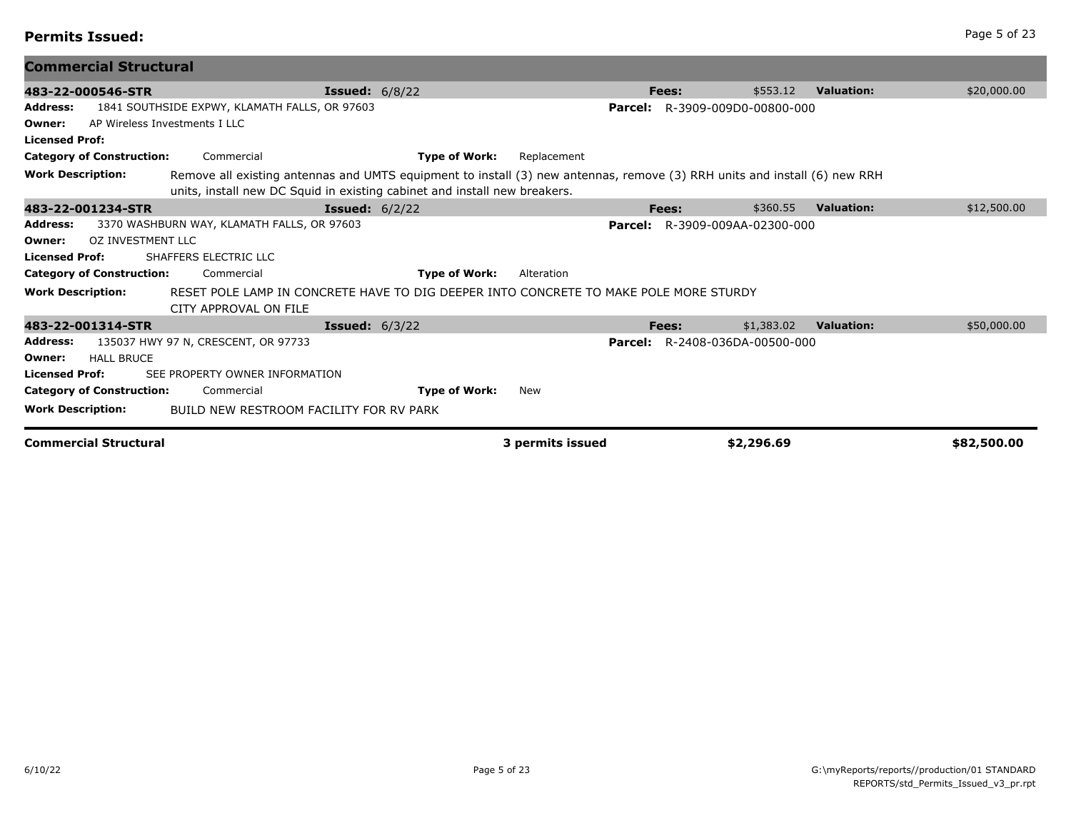| omme |  |  |  |
|------|--|--|--|

| <b>Commercial Structural</b>                                                          |                                                                                                                                                                                                        |                                       |                                 |             |
|---------------------------------------------------------------------------------------|--------------------------------------------------------------------------------------------------------------------------------------------------------------------------------------------------------|---------------------------------------|---------------------------------|-------------|
| 483-22-000546-STR                                                                     | <b>Issued:</b> $6/8/22$                                                                                                                                                                                | Fees:                                 | \$553.12<br><b>Valuation:</b>   | \$20,000.00 |
| 1841 SOUTHSIDE EXPWY, KLAMATH FALLS, OR 97603<br><b>Address:</b>                      |                                                                                                                                                                                                        | Parcel:                               | R-3909-009D0-00800-000          |             |
| AP Wireless Investments I LLC<br>Owner:                                               |                                                                                                                                                                                                        |                                       |                                 |             |
| <b>Licensed Prof:</b>                                                                 |                                                                                                                                                                                                        |                                       |                                 |             |
| <b>Category of Construction:</b><br>Commercial                                        | <b>Type of Work:</b>                                                                                                                                                                                   | Replacement                           |                                 |             |
| <b>Work Description:</b>                                                              | Remove all existing antennas and UMTS equipment to install (3) new antennas, remove (3) RRH units and install (6) new RRH<br>units, install new DC Squid in existing cabinet and install new breakers. |                                       |                                 |             |
| 483-22-001234-STR                                                                     | <b>Issued:</b> $6/2/22$                                                                                                                                                                                | Fees:                                 | \$360.55<br><b>Valuation:</b>   | \$12,500.00 |
| 3370 WASHBURN WAY, KLAMATH FALLS, OR 97603<br>Address:                                |                                                                                                                                                                                                        | <b>Parcel:</b> R-3909-009AA-02300-000 |                                 |             |
| OZ INVESTMENT LLC<br>Owner:                                                           |                                                                                                                                                                                                        |                                       |                                 |             |
| <b>Licensed Prof:</b><br>SHAFFERS ELECTRIC LLC                                        |                                                                                                                                                                                                        |                                       |                                 |             |
| <b>Category of Construction:</b><br>Commercial                                        | <b>Type of Work:</b>                                                                                                                                                                                   | Alteration                            |                                 |             |
| <b>Work Description:</b><br>CITY APPROVAL ON FILE                                     | RESET POLE LAMP IN CONCRETE HAVE TO DIG DEEPER INTO CONCRETE TO MAKE POLE MORE STURDY                                                                                                                  |                                       |                                 |             |
| 483-22-001314-STR                                                                     | <b>Issued:</b> $6/3/22$                                                                                                                                                                                | Fees:                                 | \$1,383.02<br><b>Valuation:</b> | \$50,000.00 |
| <b>Address:</b><br>135037 HWY 97 N, CRESCENT, OR 97733<br><b>HALL BRUCE</b><br>Owner: |                                                                                                                                                                                                        | <b>Parcel:</b> R-2408-036DA-00500-000 |                                 |             |
| <b>Licensed Prof:</b><br>SEE PROPERTY OWNER INFORMATION                               |                                                                                                                                                                                                        |                                       |                                 |             |
| <b>Category of Construction:</b><br>Commercial                                        | <b>Type of Work:</b><br>New                                                                                                                                                                            |                                       |                                 |             |
| <b>Work Description:</b>                                                              | BUILD NEW RESTROOM FACILITY FOR RV PARK                                                                                                                                                                |                                       |                                 |             |
| <b>Commercial Structural</b>                                                          |                                                                                                                                                                                                        | 3 permits issued                      | \$2,296.69                      | \$82,500.00 |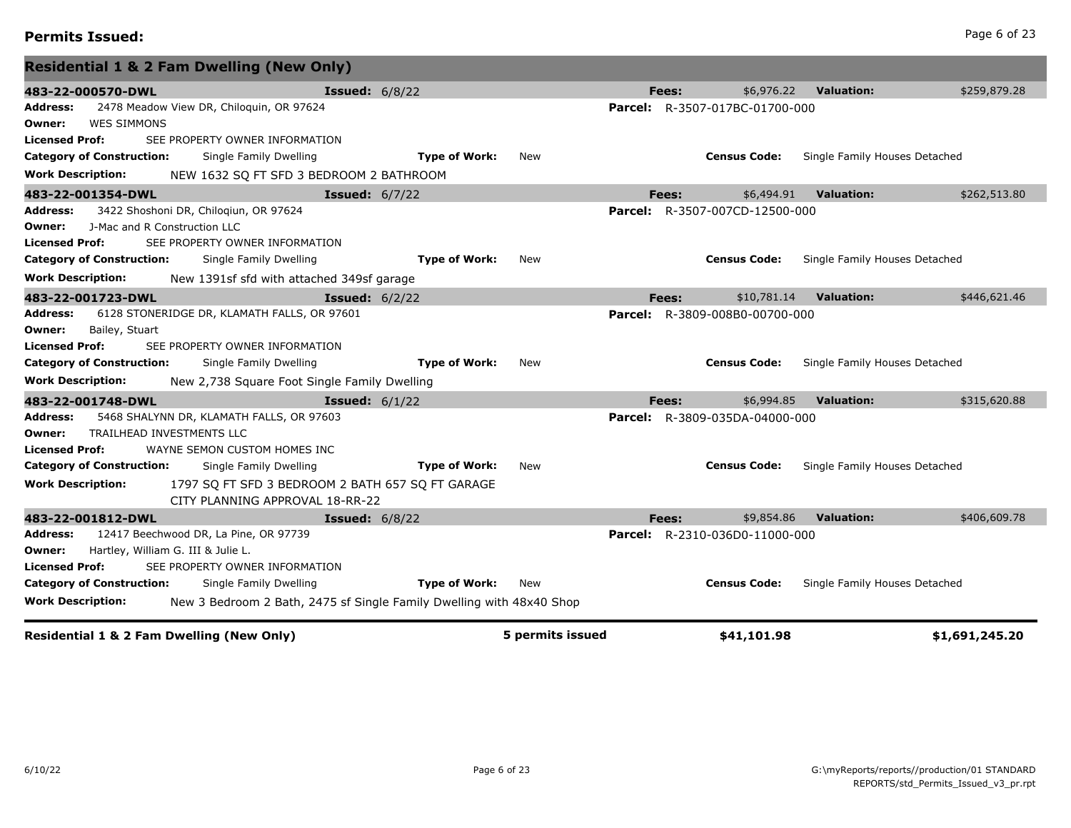# **Permits Issued:** Page 6 of 23

| <b>Residential 1 &amp; 2 Fam Dwelling (New Only)</b>                                             |                      |            |       |                                       |                               |              |
|--------------------------------------------------------------------------------------------------|----------------------|------------|-------|---------------------------------------|-------------------------------|--------------|
| 483-22-000570-DWL<br><b>Issued: 6/8/22</b>                                                       |                      |            | Fees: | \$6,976.22                            | <b>Valuation:</b>             | \$259,879.28 |
| 2478 Meadow View DR, Chiloquin, OR 97624<br>Address:                                             |                      |            |       | <b>Parcel:</b> R-3507-017BC-01700-000 |                               |              |
| <b>WES SIMMONS</b><br>Owner:                                                                     |                      |            |       |                                       |                               |              |
| <b>Licensed Prof:</b><br>SEE PROPERTY OWNER INFORMATION                                          |                      |            |       |                                       |                               |              |
| <b>Category of Construction:</b><br>Single Family Dwelling                                       | <b>Type of Work:</b> | New        |       | <b>Census Code:</b>                   | Single Family Houses Detached |              |
| <b>Work Description:</b><br>NEW 1632 SQ FT SFD 3 BEDROOM 2 BATHROOM                              |                      |            |       |                                       |                               |              |
| <b>Issued:</b> 6/7/22<br>483-22-001354-DWL                                                       |                      |            | Fees: | \$6,494.91                            | <b>Valuation:</b>             | \$262,513.80 |
| <b>Address:</b><br>3422 Shoshoni DR, Chilogiun, OR 97624                                         |                      |            |       | <b>Parcel:</b> R-3507-007CD-12500-000 |                               |              |
| J-Mac and R Construction LLC<br>Owner:                                                           |                      |            |       |                                       |                               |              |
| SEE PROPERTY OWNER INFORMATION<br>Licensed Prof:                                                 |                      |            |       |                                       |                               |              |
| <b>Category of Construction:</b><br>Single Family Dwelling                                       | <b>Type of Work:</b> | <b>New</b> |       | <b>Census Code:</b>                   | Single Family Houses Detached |              |
| <b>Work Description:</b><br>New 1391sf sfd with attached 349sf garage                            |                      |            |       |                                       |                               |              |
| 483-22-001723-DWL<br><b>Issued:</b> $6/2/22$                                                     |                      |            | Fees: | \$10,781.14                           | <b>Valuation:</b>             | \$446,621.46 |
| 6128 STONERIDGE DR, KLAMATH FALLS, OR 97601<br>Address:                                          |                      |            |       | <b>Parcel:</b> R-3809-008B0-00700-000 |                               |              |
| Bailey, Stuart<br>Owner:                                                                         |                      |            |       |                                       |                               |              |
| SEE PROPERTY OWNER INFORMATION<br><b>Licensed Prof:</b>                                          |                      |            |       |                                       |                               |              |
| <b>Category of Construction:</b><br>Single Family Dwelling                                       | <b>Type of Work:</b> | New        |       | <b>Census Code:</b>                   | Single Family Houses Detached |              |
| <b>Work Description:</b><br>New 2,738 Square Foot Single Family Dwelling                         |                      |            |       |                                       |                               |              |
| 483-22-001748-DWL<br><b>Issued:</b> $6/1/22$                                                     |                      |            | Fees: | \$6,994.85                            | <b>Valuation:</b>             | \$315,620.88 |
| 5468 SHALYNN DR, KLAMATH FALLS, OR 97603<br><b>Address:</b>                                      |                      |            |       | <b>Parcel:</b> R-3809-035DA-04000-000 |                               |              |
| TRAILHEAD INVESTMENTS LLC<br>Owner:                                                              |                      |            |       |                                       |                               |              |
| <b>Licensed Prof:</b><br>WAYNE SEMON CUSTOM HOMES INC                                            |                      |            |       |                                       |                               |              |
| <b>Category of Construction:</b><br>Single Family Dwelling                                       | <b>Type of Work:</b> | <b>New</b> |       | <b>Census Code:</b>                   | Single Family Houses Detached |              |
| <b>Work Description:</b><br>1797 SO FT SFD 3 BEDROOM 2 BATH 657 SO FT GARAGE                     |                      |            |       |                                       |                               |              |
| CITY PLANNING APPROVAL 18-RR-22                                                                  |                      |            |       |                                       |                               |              |
| 483-22-001812-DWL<br><b>Issued:</b> 6/8/22                                                       |                      |            | Fees: | \$9,854.86                            | <b>Valuation:</b>             | \$406,609.78 |
|                                                                                                  |                      |            |       |                                       |                               |              |
| 12417 Beechwood DR, La Pine, OR 97739<br>Address:                                                |                      |            |       | <b>Parcel:</b> R-2310-036D0-11000-000 |                               |              |
| Hartley, William G. III & Julie L.<br>Owner:                                                     |                      |            |       |                                       |                               |              |
| <b>Licensed Prof:</b><br>SEE PROPERTY OWNER INFORMATION                                          |                      |            |       |                                       |                               |              |
| <b>Category of Construction:</b><br>Single Family Dwelling                                       | <b>Type of Work:</b> | New        |       | <b>Census Code:</b>                   | Single Family Houses Detached |              |
| <b>Work Description:</b><br>New 3 Bedroom 2 Bath, 2475 sf Single Family Dwelling with 48x40 Shop |                      |            |       |                                       |                               |              |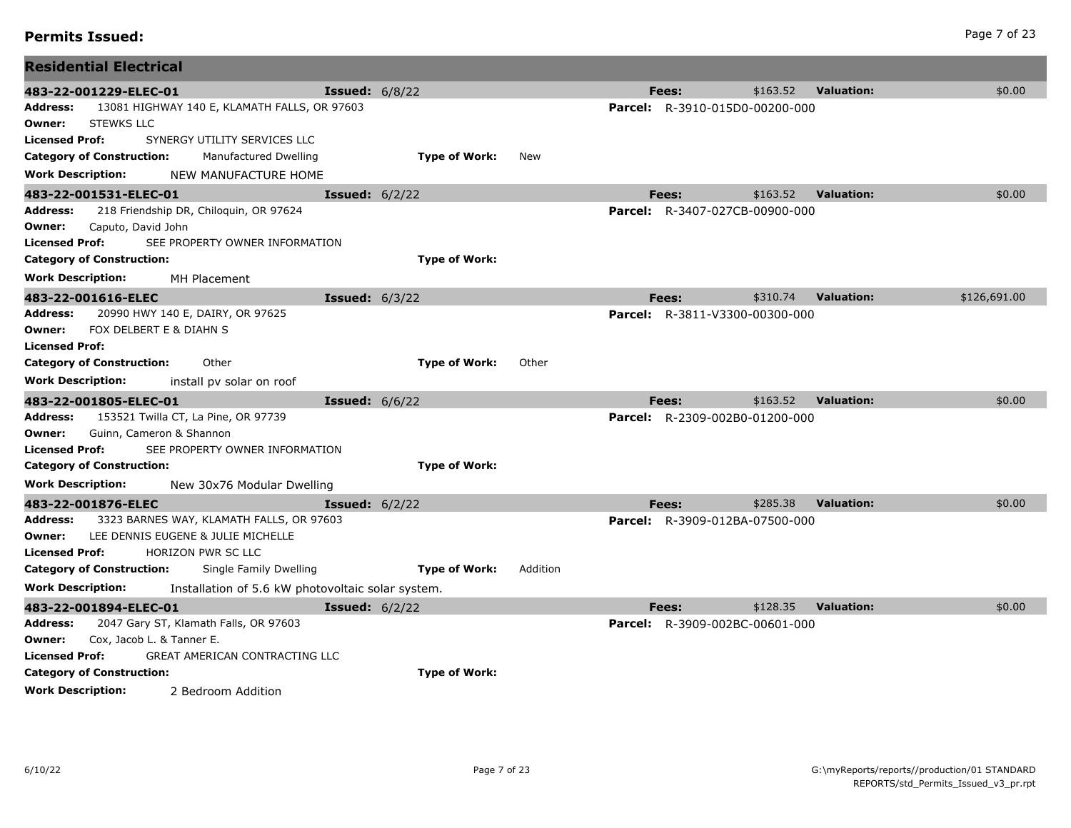| Address:                         | 218 Friendship DR, Chiloquin, OR 97624   |                                                   |                      |          | <b>Parcel:</b> R-3407-027CB-00900-000 |          |                   |              |
|----------------------------------|------------------------------------------|---------------------------------------------------|----------------------|----------|---------------------------------------|----------|-------------------|--------------|
| Owner:                           | Caputo, David John                       |                                                   |                      |          |                                       |          |                   |              |
| <b>Licensed Prof:</b>            | SEE PROPERTY OWNER INFORMATION           |                                                   |                      |          |                                       |          |                   |              |
| <b>Category of Construction:</b> |                                          |                                                   | <b>Type of Work:</b> |          |                                       |          |                   |              |
| <b>Work Description:</b>         | MH Placement                             |                                                   |                      |          |                                       |          |                   |              |
| 483-22-001616-ELEC               |                                          | <b>Issued:</b> 6/3/22                             |                      |          | Fees:                                 | \$310.74 | <b>Valuation:</b> | \$126,691.00 |
| Address:                         | 20990 HWY 140 E, DAIRY, OR 97625         |                                                   |                      |          | <b>Parcel:</b> R-3811-V3300-00300-000 |          |                   |              |
| Owner:                           | FOX DELBERT E & DIAHN S                  |                                                   |                      |          |                                       |          |                   |              |
| <b>Licensed Prof:</b>            |                                          |                                                   |                      |          |                                       |          |                   |              |
| <b>Category of Construction:</b> | Other                                    |                                                   | <b>Type of Work:</b> | Other    |                                       |          |                   |              |
| <b>Work Description:</b>         | install pv solar on roof                 |                                                   |                      |          |                                       |          |                   |              |
| 483-22-001805-ELEC-01            |                                          | <b>Issued:</b> 6/6/22                             |                      |          | Fees:                                 | \$163.52 | <b>Valuation:</b> | \$0.00       |
| <b>Address:</b>                  | 153521 Twilla CT, La Pine, OR 97739      |                                                   |                      |          | <b>Parcel:</b> R-2309-002B0-01200-000 |          |                   |              |
| Owner:                           | Guinn, Cameron & Shannon                 |                                                   |                      |          |                                       |          |                   |              |
| <b>Licensed Prof:</b>            | SEE PROPERTY OWNER INFORMATION           |                                                   |                      |          |                                       |          |                   |              |
| <b>Category of Construction:</b> |                                          |                                                   | <b>Type of Work:</b> |          |                                       |          |                   |              |
| <b>Work Description:</b>         |                                          | New 30x76 Modular Dwelling                        |                      |          |                                       |          |                   |              |
| 483-22-001876-ELEC               |                                          | <b>Issued:</b> $6/2/22$                           |                      |          | Fees:                                 | \$285.38 | <b>Valuation:</b> | \$0.00       |
| <b>Address:</b>                  | 3323 BARNES WAY, KLAMATH FALLS, OR 97603 |                                                   |                      |          | <b>Parcel:</b> R-3909-012BA-07500-000 |          |                   |              |
| Owner:                           | LEE DENNIS EUGENE & JULIE MICHELLE       |                                                   |                      |          |                                       |          |                   |              |
| <b>Licensed Prof:</b>            | <b>HORIZON PWR SC LLC</b>                |                                                   |                      |          |                                       |          |                   |              |
| <b>Category of Construction:</b> |                                          | Single Family Dwelling                            | <b>Type of Work:</b> | Addition |                                       |          |                   |              |
| <b>Work Description:</b>         |                                          | Installation of 5.6 kW photovoltaic solar system. |                      |          |                                       |          |                   |              |
| 483-22-001894-ELEC-01            |                                          | <b>Issued:</b> $6/2/22$                           |                      |          | Fees:                                 | \$128.35 | <b>Valuation:</b> | \$0.00       |
| <b>Address:</b>                  | 2047 Gary ST, Klamath Falls, OR 97603    |                                                   |                      |          | <b>Parcel:</b> R-3909-002BC-00601-000 |          |                   |              |
| Owner:                           | Cox, Jacob L. & Tanner E.                |                                                   |                      |          |                                       |          |                   |              |
| <b>Licensed Prof:</b>            | GREAT AMERICAN CONTRACTING LLC           |                                                   |                      |          |                                       |          |                   |              |
| <b>Category of Construction:</b> |                                          |                                                   | <b>Type of Work:</b> |          |                                       |          |                   |              |
| <b>Work Description:</b>         | 2 Bedroom Addition                       |                                                   |                      |          |                                       |          |                   |              |

**483-22-001229-ELEC-01 Issued:** 6/8/22 **Fees:** \$163.52 **Valuation:** \$0.00

**483-22-001531-ELEC-01 Issued:** 6/2/22 **Fees:** \$163.52 **Valuation:** \$0.00

**Address:** 13081 HIGHWAY 140 E, KLAMATH FALLS, OR 97603 **Parcel:** R-3910-015D0-00200-000

**Owner:** STEWKS LLC

**Residential Electrical**

**Licensed Prof:** SYNERGY UTILITY SERVICES LLC

**Work Description:** NEW MANUFACTURE HOME

**Category of Construction:** Manufactured Dwelling **Type of Work:** New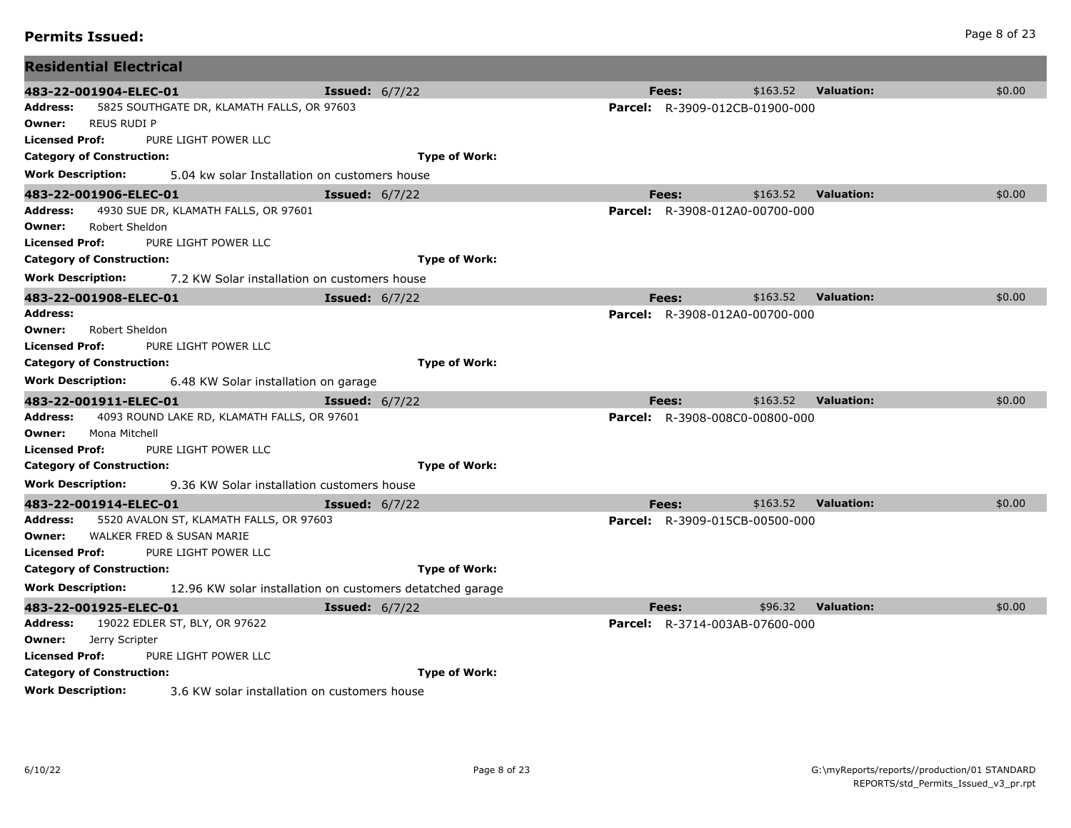| 483-22-001904-ELEC-01                                                    | <b>Issued:</b> $6/7/22$                                   | Fees:        | \$163.52                              | <b>Valuation:</b> | \$0.00 |
|--------------------------------------------------------------------------|-----------------------------------------------------------|--------------|---------------------------------------|-------------------|--------|
| Address:<br>5825 SOUTHGATE DR, KLAMATH FALLS, OR 97603                   |                                                           |              | <b>Parcel:</b> R-3909-012CB-01900-000 |                   |        |
| <b>REUS RUDI P</b><br>Owner:                                             |                                                           |              |                                       |                   |        |
| Licensed Prof:<br>PURE LIGHT POWER LLC                                   |                                                           |              |                                       |                   |        |
| <b>Category of Construction:</b>                                         | <b>Type of Work:</b>                                      |              |                                       |                   |        |
| Work Description:<br>5.04 kw solar Installation on customers house       |                                                           |              |                                       |                   |        |
| 483-22-001906-ELEC-01                                                    | <b>Issued:</b> $6/7/22$                                   | Fees:        | \$163.52                              | <b>Valuation:</b> | \$0.00 |
| 4930 SUE DR, KLAMATH FALLS, OR 97601<br>Address:                         |                                                           |              | Parcel: R-3908-012A0-00700-000        |                   |        |
| Robert Sheldon<br>Owner:                                                 |                                                           |              |                                       |                   |        |
| <b>Licensed Prof:</b><br>PURE LIGHT POWER LLC                            |                                                           |              |                                       |                   |        |
| <b>Category of Construction:</b>                                         | <b>Type of Work:</b>                                      |              |                                       |                   |        |
| Work Description:<br>7.2 KW Solar installation on customers house        |                                                           |              |                                       |                   |        |
| 483-22-001908-ELEC-01                                                    | <b>Issued:</b> $6/7/22$                                   | <b>Fees:</b> | \$163.52                              | <b>Valuation:</b> | \$0.00 |
| Address:                                                                 |                                                           |              | <b>Parcel:</b> R-3908-012A0-00700-000 |                   |        |
| Owner:<br>Robert Sheldon<br>Licensed Prof:<br>PURE LIGHT POWER LLC       |                                                           |              |                                       |                   |        |
| <b>Category of Construction:</b>                                         | <b>Type of Work:</b>                                      |              |                                       |                   |        |
| Work Description:<br>6.48 KW Solar installation on garage                |                                                           |              |                                       |                   |        |
| 483-22-001911-ELEC-01                                                    | <b>Issued:</b> 6/7/22                                     | Fees:        | \$163.52                              | <b>Valuation:</b> | \$0.00 |
| Address:<br>4093 ROUND LAKE RD, KLAMATH FALLS, OR 97601                  |                                                           |              | <b>Parcel:</b> R-3908-008C0-00800-000 |                   |        |
| Owner:<br>Mona Mitchell                                                  |                                                           |              |                                       |                   |        |
| PURE LIGHT POWER LLC<br>Licensed Prof:                                   |                                                           |              |                                       |                   |        |
| <b>Category of Construction:</b>                                         | <b>Type of Work:</b>                                      |              |                                       |                   |        |
| Work Description:<br>9.36 KW Solar installation customers house          |                                                           |              |                                       |                   |        |
| 483-22-001914-ELEC-01                                                    | <b>Issued:</b> $6/7/22$                                   | Fees:        | \$163.52                              | <b>Valuation:</b> | \$0.00 |
| Address:<br>5520 AVALON ST, KLAMATH FALLS, OR 97603                      |                                                           |              | <b>Parcel:</b> R-3909-015CB-00500-000 |                   |        |
| WALKER FRED & SUSAN MARIE<br>Owner:                                      |                                                           |              |                                       |                   |        |
| Licensed Prof:<br>PURE LIGHT POWER LLC                                   |                                                           |              |                                       |                   |        |
| <b>Category of Construction:</b>                                         | <b>Type of Work:</b>                                      |              |                                       |                   |        |
| Work Description:                                                        | 12.96 KW solar installation on customers detatched garage |              |                                       |                   |        |
| 483-22-001925-ELEC-01                                                    | <b>Issued:</b> $6/7/22$                                   | Fees:        | \$96.32                               | <b>Valuation:</b> | \$0.00 |
| <b>Address:</b> 19022 EDLER ST, BLY, OR 97622                            |                                                           |              | <b>Parcel:</b> R-3714-003AB-07600-000 |                   |        |
| Owner:<br>Jerry Scripter                                                 |                                                           |              |                                       |                   |        |
| <b>Licensed Prof:</b><br>PURE LIGHT POWER LLC                            |                                                           |              |                                       |                   |        |
| <b>Category of Construction:</b>                                         | <b>Type of Work:</b>                                      |              |                                       |                   |        |
| <b>Work Description:</b><br>3.6 KW solar installation on customers house |                                                           |              |                                       |                   |        |

**Residential Electrical**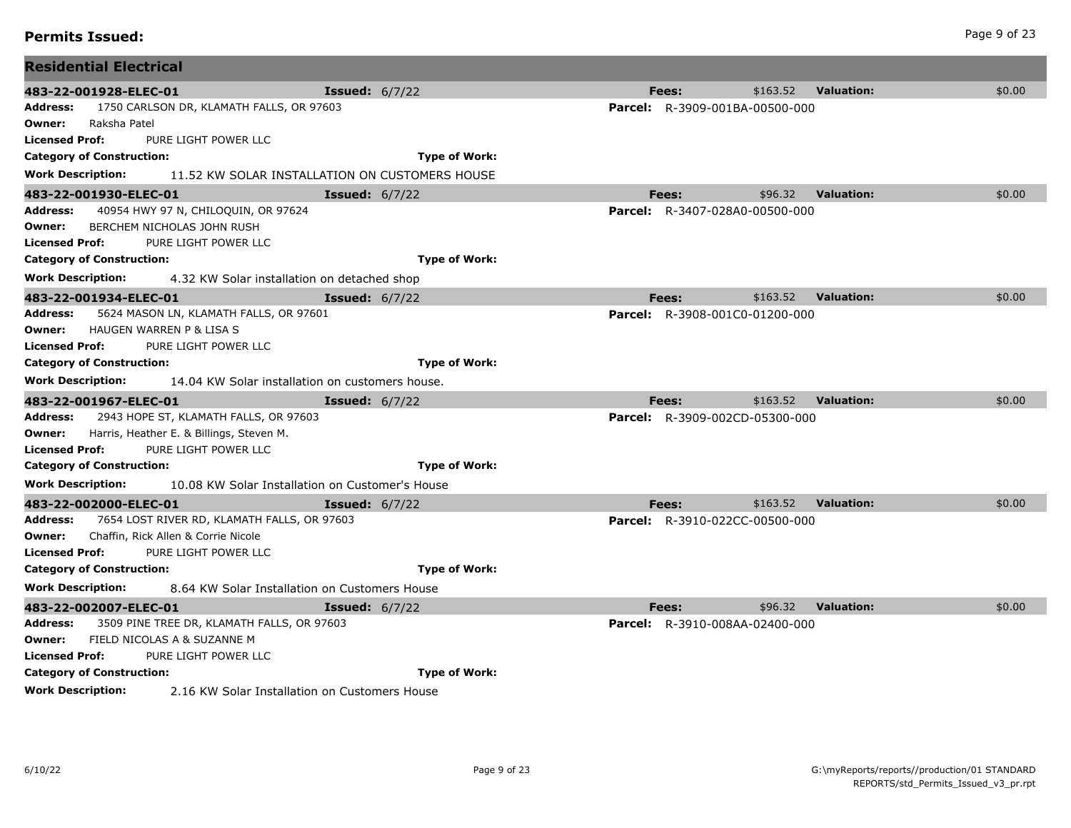| <b>Permits Issued:</b> | Page 9 of 23 |
|------------------------|--------------|
|------------------------|--------------|

| <b>Residential Electrical</b>                                               |                                                |                                       |          |                   |        |
|-----------------------------------------------------------------------------|------------------------------------------------|---------------------------------------|----------|-------------------|--------|
| 483-22-001928-ELEC-01                                                       | <b>Issued:</b> $6/7/22$                        | Fees:                                 | \$163.52 | <b>Valuation:</b> | \$0.00 |
| 1750 CARLSON DR, KLAMATH FALLS, OR 97603<br>Address:                        |                                                | <b>Parcel:</b> R-3909-001BA-00500-000 |          |                   |        |
| Raksha Patel<br>Owner:                                                      |                                                |                                       |          |                   |        |
| <b>Licensed Prof:</b><br>PURE LIGHT POWER LLC                               |                                                |                                       |          |                   |        |
| <b>Category of Construction:</b>                                            | <b>Type of Work:</b>                           |                                       |          |                   |        |
| <b>Work Description:</b>                                                    | 11.52 KW SOLAR INSTALLATION ON CUSTOMERS HOUSE |                                       |          |                   |        |
| 483-22-001930-ELEC-01                                                       | <b>Issued:</b> $6/7/22$                        | Fees:                                 | \$96.32  | <b>Valuation:</b> | \$0.00 |
| 40954 HWY 97 N, CHILOQUIN, OR 97624<br>Address:                             |                                                | <b>Parcel:</b> R-3407-028A0-00500-000 |          |                   |        |
| BERCHEM NICHOLAS JOHN RUSH<br>Owner:                                        |                                                |                                       |          |                   |        |
| PURE LIGHT POWER LLC<br><b>Licensed Prof:</b>                               |                                                |                                       |          |                   |        |
| <b>Category of Construction:</b>                                            | <b>Type of Work:</b>                           |                                       |          |                   |        |
| <b>Work Description:</b><br>4.32 KW Solar installation on detached shop     |                                                |                                       |          |                   |        |
| 483-22-001934-ELEC-01                                                       | <b>Issued: 6/7/22</b>                          | Fees:                                 | \$163.52 | <b>Valuation:</b> | \$0.00 |
| 5624 MASON LN, KLAMATH FALLS, OR 97601<br>Address:                          |                                                | <b>Parcel:</b> R-3908-001C0-01200-000 |          |                   |        |
| HAUGEN WARREN P & LISA S<br>Owner:                                          |                                                |                                       |          |                   |        |
| <b>Licensed Prof:</b><br>PURE LIGHT POWER LLC                               |                                                |                                       |          |                   |        |
| <b>Category of Construction:</b>                                            | <b>Type of Work:</b>                           |                                       |          |                   |        |
| <b>Work Description:</b><br>14.04 KW Solar installation on customers house. |                                                |                                       |          |                   |        |
| 483-22-001967-ELEC-01                                                       | <b>Issued:</b> $6/7/22$                        | Fees:                                 | \$163.52 | <b>Valuation:</b> | \$0.00 |
| 2943 HOPE ST, KLAMATH FALLS, OR 97603<br>Address:                           |                                                | <b>Parcel:</b> R-3909-002CD-05300-000 |          |                   |        |
| Harris, Heather E. & Billings, Steven M.<br>Owner:                          |                                                |                                       |          |                   |        |
| PURE LIGHT POWER LLC<br><b>Licensed Prof:</b>                               |                                                |                                       |          |                   |        |
| <b>Category of Construction:</b>                                            | <b>Type of Work:</b>                           |                                       |          |                   |        |
| <b>Work Description:</b><br>10.08 KW Solar Installation on Customer's House |                                                |                                       |          |                   |        |
| 483-22-002000-ELEC-01                                                       | <b>Issued:</b> $6/7/22$                        | Fees:                                 | \$163.52 | <b>Valuation:</b> | \$0.00 |
| 7654 LOST RIVER RD, KLAMATH FALLS, OR 97603<br>Address:                     |                                                | <b>Parcel:</b> R-3910-022CC-00500-000 |          |                   |        |
| Chaffin, Rick Allen & Corrie Nicole<br>Owner:                               |                                                |                                       |          |                   |        |
| <b>Licensed Prof:</b><br>PURE LIGHT POWER LLC                               |                                                |                                       |          |                   |        |
| <b>Category of Construction:</b>                                            | <b>Type of Work:</b>                           |                                       |          |                   |        |
| <b>Work Description:</b><br>8.64 KW Solar Installation on Customers House   |                                                |                                       |          |                   |        |
| 483-22-002007-ELEC-01                                                       | <b>Issued: 6/7/22</b>                          | Fees:                                 | \$96.32  | <b>Valuation:</b> | \$0.00 |
| Address:<br>3509 PINE TREE DR, KLAMATH FALLS, OR 97603                      |                                                | <b>Parcel:</b> R-3910-008AA-02400-000 |          |                   |        |
| FIELD NICOLAS A & SUZANNE M<br>Owner:                                       |                                                |                                       |          |                   |        |
| <b>Licensed Prof:</b><br>PURE LIGHT POWER LLC                               |                                                |                                       |          |                   |        |
| <b>Category of Construction:</b>                                            | <b>Type of Work:</b>                           |                                       |          |                   |        |
| <b>Work Description:</b><br>2.16 KW Solar Installation on Customers House   |                                                |                                       |          |                   |        |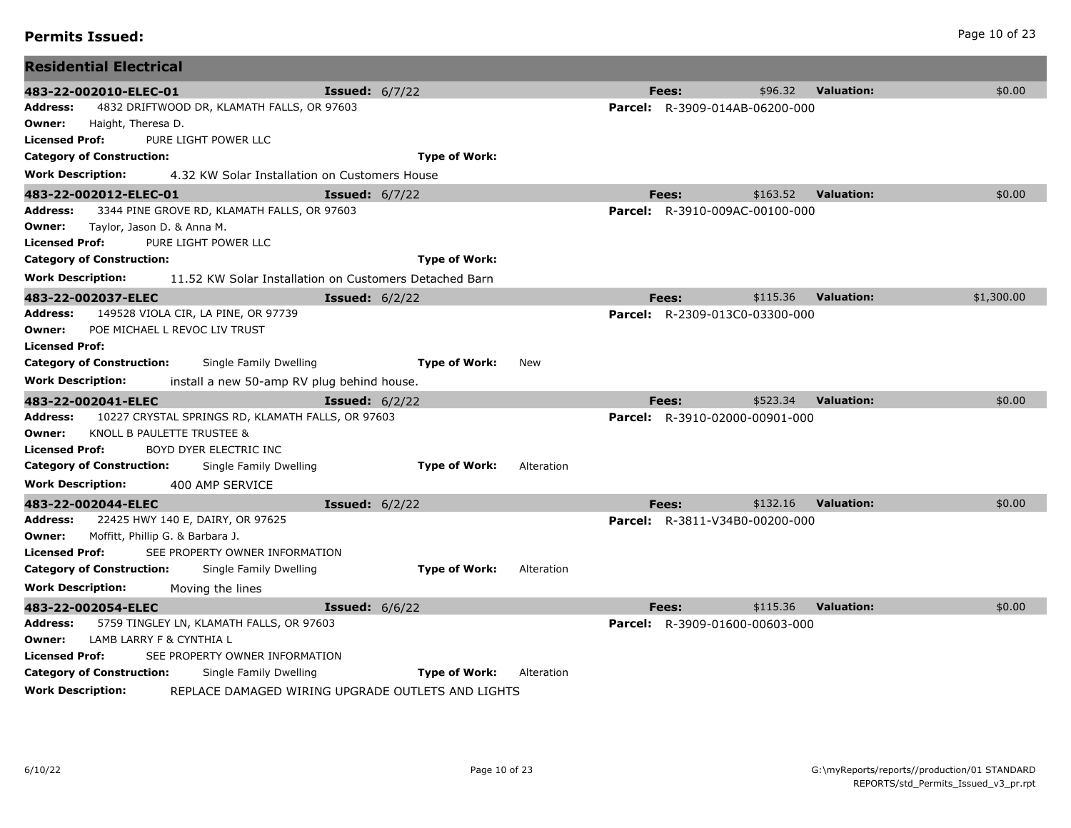| <b>Permits Issued:</b> | Page 10 of 23 |
|------------------------|---------------|
|------------------------|---------------|

| <b>Residential Electrical</b>                                                                                   |                                                           |            |                                                |                               |            |
|-----------------------------------------------------------------------------------------------------------------|-----------------------------------------------------------|------------|------------------------------------------------|-------------------------------|------------|
| 483-22-002010-ELEC-01<br>4832 DRIFTWOOD DR, KLAMATH FALLS, OR 97603<br>Address:<br>Owner:<br>Haight, Theresa D. | <b>Issued: 6/7/22</b>                                     |            | Fees:<br><b>Parcel:</b> R-3909-014AB-06200-000 | \$96.32<br><b>Valuation:</b>  | \$0.00     |
| PURE LIGHT POWER LLC<br>Licensed Prof:                                                                          |                                                           |            |                                                |                               |            |
| <b>Category of Construction:</b>                                                                                | <b>Type of Work:</b>                                      |            |                                                |                               |            |
| Work Description:<br>4.32 KW Solar Installation on Customers House                                              |                                                           |            |                                                |                               |            |
| 483-22-002012-ELEC-01                                                                                           | <b>Issued:</b> $6/7/22$                                   |            | Fees:                                          | \$163.52<br><b>Valuation:</b> | \$0.00     |
| Address:<br>3344 PINE GROVE RD, KLAMATH FALLS, OR 97603                                                         |                                                           |            | <b>Parcel:</b> R-3910-009AC-00100-000          |                               |            |
| Owner:<br>Taylor, Jason D. & Anna M.                                                                            |                                                           |            |                                                |                               |            |
| PURE LIGHT POWER LLC<br>Licensed Prof:                                                                          |                                                           |            |                                                |                               |            |
| <b>Category of Construction:</b>                                                                                | <b>Type of Work:</b>                                      |            |                                                |                               |            |
| <b>Work Description:</b>                                                                                        | 11.52 KW Solar Installation on Customers Detached Barn    |            |                                                |                               |            |
| 483-22-002037-ELEC                                                                                              | <b>Issued:</b> $6/2/22$                                   |            | Fees:                                          | \$115.36<br><b>Valuation:</b> | \$1,300.00 |
| 149528 VIOLA CIR, LA PINE, OR 97739<br>Address:                                                                 |                                                           |            | <b>Parcel:</b> R-2309-013C0-03300-000          |                               |            |
| POE MICHAEL L REVOC LIV TRUST<br>Owner:                                                                         |                                                           |            |                                                |                               |            |
| <b>Licensed Prof:</b>                                                                                           |                                                           |            |                                                |                               |            |
| <b>Category of Construction:</b><br>Single Family Dwelling                                                      | <b>Type of Work:</b>                                      | New        |                                                |                               |            |
| <b>Work Description:</b><br>install a new 50-amp RV plug behind house.                                          |                                                           |            |                                                |                               |            |
| 483-22-002041-ELEC                                                                                              | <b>Issued:</b> $6/2/22$                                   |            | Fees:                                          | \$523.34<br><b>Valuation:</b> | \$0.00     |
| 10227 CRYSTAL SPRINGS RD, KLAMATH FALLS, OR 97603<br>Address:                                                   |                                                           |            | <b>Parcel:</b> R-3910-02000-00901-000          |                               |            |
| KNOLL B PAULETTE TRUSTEE &<br>Owner:<br><b>Licensed Prof:</b><br>BOYD DYER ELECTRIC INC                         |                                                           |            |                                                |                               |            |
| <b>Category of Construction:</b><br>Single Family Dwelling                                                      | <b>Type of Work:</b>                                      | Alteration |                                                |                               |            |
| <b>Work Description:</b><br>400 AMP SERVICE                                                                     |                                                           |            |                                                |                               |            |
| 483-22-002044-ELEC                                                                                              | <b>Issued:</b> $6/2/22$                                   |            | Fees:                                          | \$132.16<br><b>Valuation:</b> | \$0.00     |
| 22425 HWY 140 E, DAIRY, OR 97625<br>Address:                                                                    |                                                           |            | <b>Parcel:</b> R-3811-V34B0-00200-000          |                               |            |
| Moffitt, Phillip G. & Barbara J.<br>Owner:                                                                      |                                                           |            |                                                |                               |            |
| <b>Licensed Prof:</b><br>SEE PROPERTY OWNER INFORMATION                                                         |                                                           |            |                                                |                               |            |
| <b>Category of Construction:</b><br>Single Family Dwelling                                                      | <b>Type of Work:</b>                                      | Alteration |                                                |                               |            |
| <b>Work Description:</b><br>Moving the lines                                                                    |                                                           |            |                                                |                               |            |
| 483-22-002054-ELEC                                                                                              | <b>Issued: 6/6/22</b>                                     |            | Fees:                                          | \$115.36<br><b>Valuation:</b> | \$0.00     |
| 5759 TINGLEY LN, KLAMATH FALLS, OR 97603<br>Address:                                                            |                                                           |            | <b>Parcel:</b> R-3909-01600-00603-000          |                               |            |
| LAMB LARRY F & CYNTHIA L<br>Owner:                                                                              |                                                           |            |                                                |                               |            |
| <b>Licensed Prof:</b><br>SEE PROPERTY OWNER INFORMATION                                                         |                                                           |            |                                                |                               |            |
| <b>Category of Construction:</b><br>Single Family Dwelling                                                      | <b>Type of Work:</b>                                      | Alteration |                                                |                               |            |
| Work Descrintion:                                                                                               | <b>DEDI ACE DAMACED WIDING HDCDADE OUTLETS AND LIGHTS</b> |            |                                                |                               |            |

**Work Description:** REPLACE DAMAGED WIRING UPGRADE OUTLETS AND LIGHTS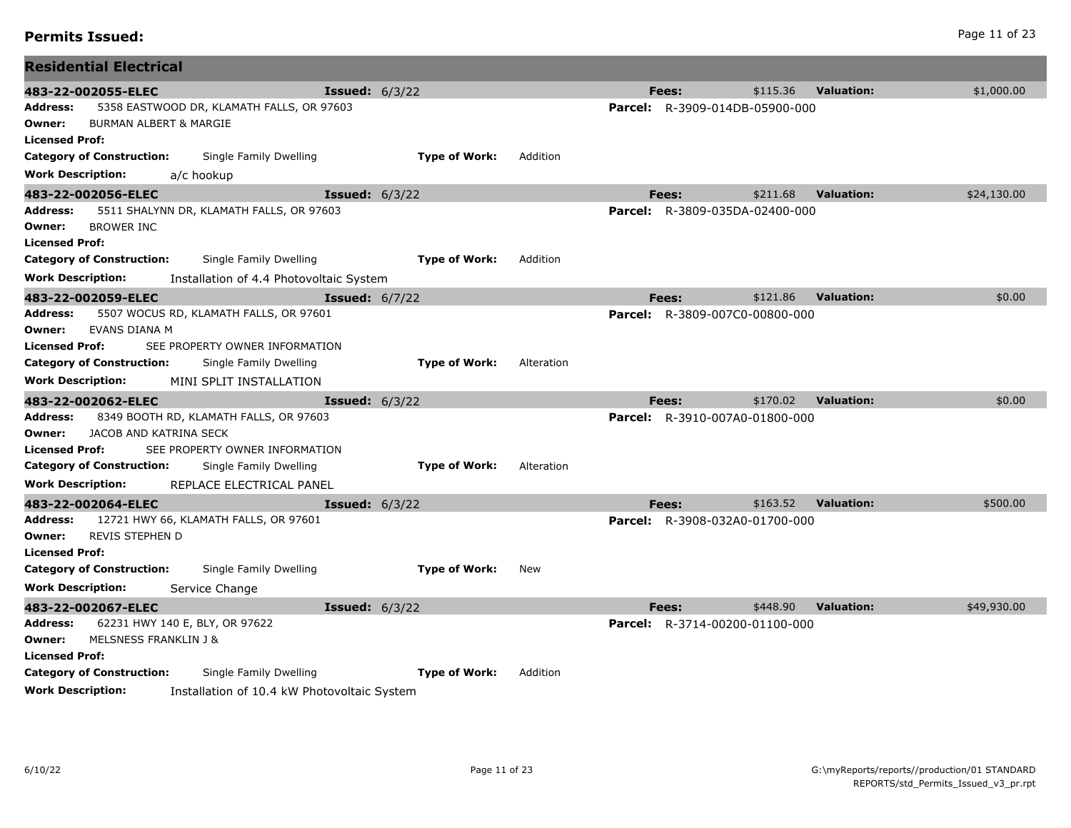| <b>Residential Electrical</b>                                                                                          |                         |            |                                       |          |                                  |
|------------------------------------------------------------------------------------------------------------------------|-------------------------|------------|---------------------------------------|----------|----------------------------------|
| 483-22-002055-ELEC                                                                                                     | <b>Issued:</b> $6/3/22$ |            | Fees:                                 | \$115.36 | \$1,000.00<br><b>Valuation:</b>  |
| 5358 EASTWOOD DR, KLAMATH FALLS, OR 97603<br>Address:<br><b>BURMAN ALBERT &amp; MARGIE</b><br>Owner:<br>Licensed Prof: |                         |            | <b>Parcel:</b> R-3909-014DB-05900-000 |          |                                  |
| <b>Category of Construction:</b><br>Single Family Dwelling                                                             | <b>Type of Work:</b>    | Addition   |                                       |          |                                  |
| <b>Work Description:</b><br>a/c hookup                                                                                 |                         |            |                                       |          |                                  |
| 483-22-002056-ELEC                                                                                                     | <b>Issued:</b> $6/3/22$ |            | Fees:                                 | \$211.68 | \$24,130.00<br><b>Valuation:</b> |
| Address:<br>5511 SHALYNN DR, KLAMATH FALLS, OR 97603<br><b>BROWER INC</b><br>Owner:<br>Licensed Prof:                  |                         |            | Parcel: R-3809-035DA-02400-000        |          |                                  |
| <b>Category of Construction:</b><br>Single Family Dwelling                                                             | <b>Type of Work:</b>    | Addition   |                                       |          |                                  |
| Work Description:<br>Installation of 4.4 Photovoltaic System                                                           |                         |            |                                       |          |                                  |
| 483-22-002059-ELEC                                                                                                     | <b>Issued:</b> $6/7/22$ |            | Fees:                                 | \$121.86 | <b>Valuation:</b><br>\$0.00      |
| 5507 WOCUS RD, KLAMATH FALLS, OR 97601<br>Address:                                                                     |                         |            | <b>Parcel:</b> R-3809-007C0-00800-000 |          |                                  |
| EVANS DIANA M<br>Owner:                                                                                                |                         |            |                                       |          |                                  |
| Licensed Prof:<br>SEE PROPERTY OWNER INFORMATION                                                                       |                         |            |                                       |          |                                  |
| <b>Category of Construction:</b><br>Single Family Dwelling                                                             | <b>Type of Work:</b>    | Alteration |                                       |          |                                  |
| <b>Work Description:</b><br>MINI SPLIT INSTALLATION                                                                    |                         |            |                                       |          |                                  |
| 483-22-002062-ELEC                                                                                                     | <b>Issued:</b> $6/3/22$ |            | Fees:                                 | \$170.02 | \$0.00<br><b>Valuation:</b>      |
| Address:<br>8349 BOOTH RD, KLAMATH FALLS, OR 97603<br>JACOB AND KATRINA SECK<br>Owner:                                 |                         |            | <b>Parcel:</b> R-3910-007A0-01800-000 |          |                                  |
| SEE PROPERTY OWNER INFORMATION<br>Licensed Prof:                                                                       |                         |            |                                       |          |                                  |
| <b>Category of Construction:</b><br>Single Family Dwelling                                                             | <b>Type of Work:</b>    | Alteration |                                       |          |                                  |
| <b>Work Description:</b><br>REPLACE ELECTRICAL PANEL                                                                   |                         |            |                                       |          |                                  |
| 483-22-002064-ELEC                                                                                                     | <b>Issued:</b> 6/3/22   |            | Fees:                                 | \$163.52 | <b>Valuation:</b><br>\$500.00    |
| 12721 HWY 66, KLAMATH FALLS, OR 97601<br>Address:                                                                      |                         |            | <b>Parcel:</b> R-3908-032A0-01700-000 |          |                                  |
| REVIS STEPHEN D<br>Owner:                                                                                              |                         |            |                                       |          |                                  |
| <b>Licensed Prof:</b>                                                                                                  |                         |            |                                       |          |                                  |
| <b>Category of Construction:</b><br>Single Family Dwelling                                                             | <b>Type of Work:</b>    | New        |                                       |          |                                  |
| Work Description:<br>Service Change                                                                                    |                         |            |                                       |          |                                  |
| 483-22-002067-ELEC                                                                                                     | <b>Issued: 6/3/22</b>   |            | Fees:                                 | \$448.90 | <b>Valuation:</b><br>\$49,930.00 |
| 62231 HWY 140 E, BLY, OR 97622<br>Address:                                                                             |                         |            | <b>Parcel:</b> R-3714-00200-01100-000 |          |                                  |
| MELSNESS FRANKLIN J &<br>Owner:<br><b>Licensed Prof:</b>                                                               |                         |            |                                       |          |                                  |
| <b>Category of Construction:</b><br>Single Family Dwelling                                                             | <b>Type of Work:</b>    | Addition   |                                       |          |                                  |
| Work Description:<br>Installation of 10.4 kW Photovoltaic System                                                       |                         |            |                                       |          |                                  |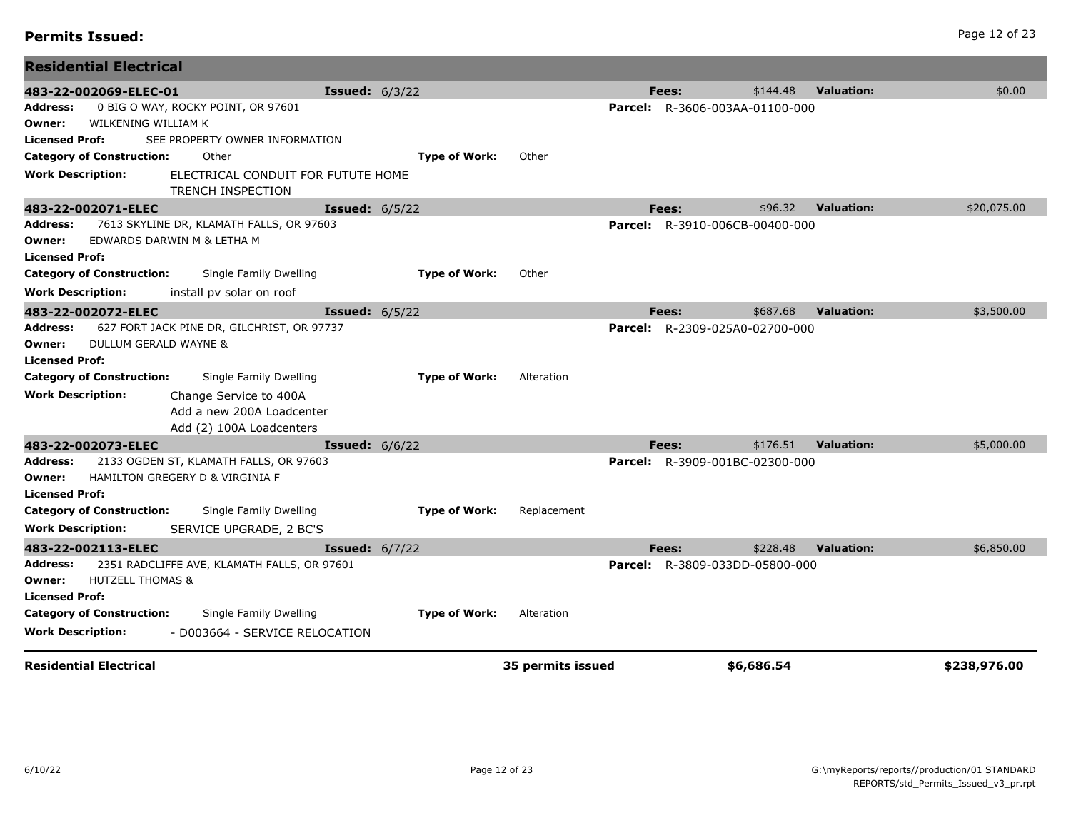| 483-22-002069-ELEC-01                 |                                             | <b>Issued:</b> $6/3/22$ |                      |                   |         | Fees:                                 | \$144.48               | <b>Valuation:</b> | \$0.00       |
|---------------------------------------|---------------------------------------------|-------------------------|----------------------|-------------------|---------|---------------------------------------|------------------------|-------------------|--------------|
| Address:                              | 0 BIG O WAY, ROCKY POINT, OR 97601          |                         |                      |                   |         | <b>Parcel:</b> R-3606-003AA-01100-000 |                        |                   |              |
| WILKENING WILLIAM K<br>Owner:         |                                             |                         |                      |                   |         |                                       |                        |                   |              |
| <b>Licensed Prof:</b>                 | SEE PROPERTY OWNER INFORMATION              |                         |                      |                   |         |                                       |                        |                   |              |
| <b>Category of Construction:</b>      | Other                                       |                         | <b>Type of Work:</b> | Other             |         |                                       |                        |                   |              |
| Work Description:                     | ELECTRICAL CONDUIT FOR FUTUTE HOME          |                         |                      |                   |         |                                       |                        |                   |              |
|                                       | <b>TRENCH INSPECTION</b>                    |                         |                      |                   |         |                                       |                        |                   |              |
| 483-22-002071-ELEC                    |                                             | <b>Issued:</b> $6/5/22$ |                      |                   |         | Fees:                                 | \$96.32                | <b>Valuation:</b> | \$20,075.00  |
| <b>Address:</b>                       | 7613 SKYLINE DR, KLAMATH FALLS, OR 97603    |                         |                      |                   | Parcel: |                                       | R-3910-006CB-00400-000 |                   |              |
| Owner:                                | EDWARDS DARWIN M & LETHA M                  |                         |                      |                   |         |                                       |                        |                   |              |
| <b>Licensed Prof:</b>                 |                                             |                         |                      |                   |         |                                       |                        |                   |              |
| <b>Category of Construction:</b>      | Single Family Dwelling                      |                         | <b>Type of Work:</b> | Other             |         |                                       |                        |                   |              |
| <b>Work Description:</b>              | install pv solar on roof                    |                         |                      |                   |         |                                       |                        |                   |              |
| 483-22-002072-ELEC                    |                                             | <b>Issued:</b> $6/5/22$ |                      |                   |         | Fees:                                 | \$687.68               | <b>Valuation:</b> | \$3,500.00   |
| <b>Address:</b>                       | 627 FORT JACK PINE DR, GILCHRIST, OR 97737  |                         |                      |                   |         | Parcel: R-2309-025A0-02700-000        |                        |                   |              |
| DULLUM GERALD WAYNE &<br>Owner:       |                                             |                         |                      |                   |         |                                       |                        |                   |              |
| <b>Licensed Prof:</b>                 |                                             |                         |                      |                   |         |                                       |                        |                   |              |
| <b>Category of Construction:</b>      | Single Family Dwelling                      |                         | <b>Type of Work:</b> | Alteration        |         |                                       |                        |                   |              |
| <b>Work Description:</b>              | Change Service to 400A                      |                         |                      |                   |         |                                       |                        |                   |              |
|                                       | Add a new 200A Loadcenter                   |                         |                      |                   |         |                                       |                        |                   |              |
|                                       | Add (2) 100A Loadcenters                    |                         |                      |                   |         |                                       |                        |                   |              |
| 483-22-002073-ELEC                    |                                             | <b>Issued:</b> $6/6/22$ |                      |                   |         | Fees:                                 | \$176.51               | <b>Valuation:</b> | \$5,000.00   |
| <b>Address:</b>                       | 2133 OGDEN ST, KLAMATH FALLS, OR 97603      |                         |                      |                   | Parcel: |                                       | R-3909-001BC-02300-000 |                   |              |
| Owner:                                | HAMILTON GREGERY D & VIRGINIA F             |                         |                      |                   |         |                                       |                        |                   |              |
| <b>Licensed Prof:</b>                 |                                             |                         |                      |                   |         |                                       |                        |                   |              |
| <b>Category of Construction:</b>      | Single Family Dwelling                      |                         | <b>Type of Work:</b> | Replacement       |         |                                       |                        |                   |              |
| <b>Work Description:</b>              | SERVICE UPGRADE, 2 BC'S                     |                         |                      |                   |         |                                       |                        |                   |              |
| 483-22-002113-ELEC                    |                                             | <b>Issued:</b> 6/7/22   |                      |                   |         | Fees:                                 | \$228.48               | <b>Valuation:</b> | \$6,850.00   |
| Address:                              | 2351 RADCLIFFE AVE, KLAMATH FALLS, OR 97601 |                         |                      |                   | Parcel: |                                       | R-3809-033DD-05800-000 |                   |              |
| <b>HUTZELL THOMAS &amp;</b><br>Owner: |                                             |                         |                      |                   |         |                                       |                        |                   |              |
| <b>Licensed Prof:</b>                 |                                             |                         |                      |                   |         |                                       |                        |                   |              |
| <b>Category of Construction:</b>      | Single Family Dwelling                      |                         | <b>Type of Work:</b> | Alteration        |         |                                       |                        |                   |              |
| Work Description:                     | - D003664 - SERVICE RELOCATION              |                         |                      |                   |         |                                       |                        |                   |              |
|                                       |                                             |                         |                      |                   |         |                                       |                        |                   |              |
| <b>Residential Electrical</b>         |                                             |                         |                      | 35 permits issued |         |                                       | \$6,686.54             |                   | \$238,976.00 |

**Residential Electrical**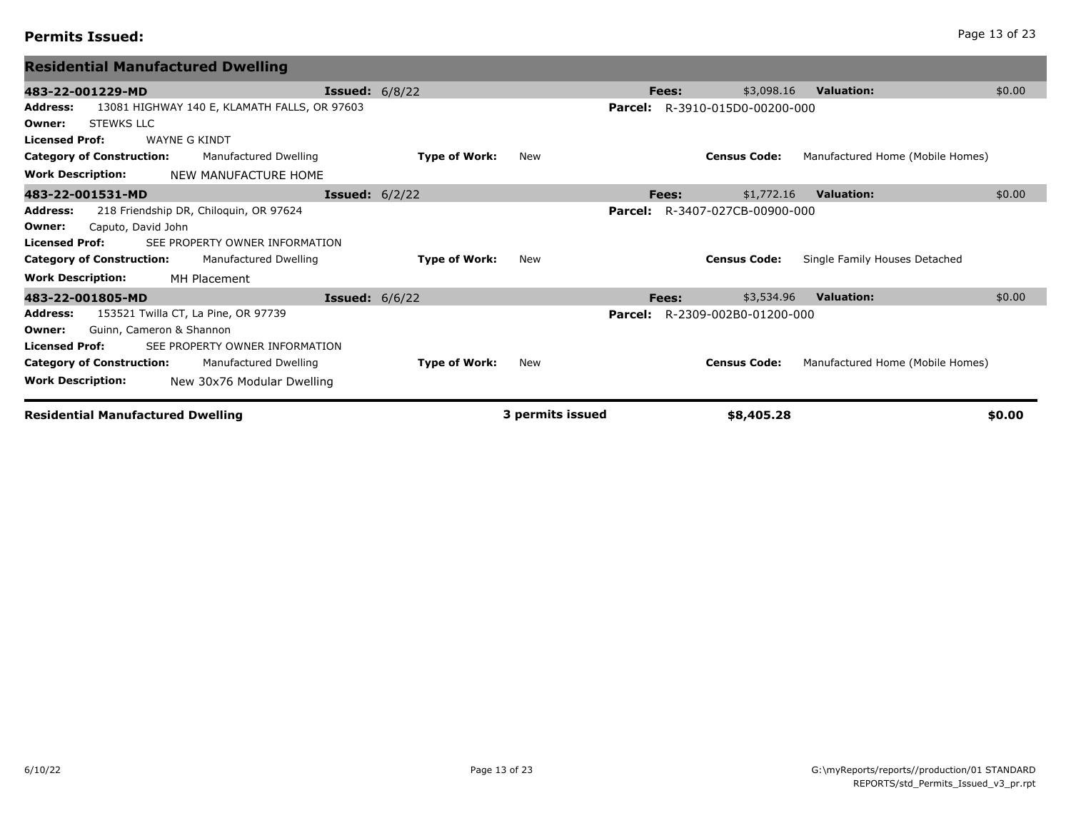# **Permits Issued:** Page 13 of 23

| <b>Residential Manufactured Dwelling</b>                        |                         |                      |                  |         |       |                                       |                               |                                  |        |
|-----------------------------------------------------------------|-------------------------|----------------------|------------------|---------|-------|---------------------------------------|-------------------------------|----------------------------------|--------|
| 483-22-001229-MD                                                | <b>Issued:</b> $6/8/22$ |                      |                  |         | Fees: | \$3,098.16                            | <b>Valuation:</b>             |                                  | \$0.00 |
| 13081 HIGHWAY 140 E, KLAMATH FALLS, OR 97603<br><b>Address:</b> |                         |                      |                  |         |       | <b>Parcel:</b> R-3910-015D0-00200-000 |                               |                                  |        |
| <b>STEWKS LLC</b><br>Owner:                                     |                         |                      |                  |         |       |                                       |                               |                                  |        |
| <b>WAYNE G KINDT</b><br><b>Licensed Prof:</b>                   |                         |                      |                  |         |       |                                       |                               |                                  |        |
| <b>Category of Construction:</b><br>Manufactured Dwelling       |                         | <b>Type of Work:</b> | New              |         |       | <b>Census Code:</b>                   |                               | Manufactured Home (Mobile Homes) |        |
| <b>Work Description:</b><br>NEW MANUFACTURE HOME                |                         |                      |                  |         |       |                                       |                               |                                  |        |
| 483-22-001531-MD                                                | <b>Issued:</b> $6/2/22$ |                      |                  |         | Fees: | \$1,772.16                            | <b>Valuation:</b>             |                                  | \$0.00 |
| 218 Friendship DR, Chiloquin, OR 97624<br>Address:              |                         |                      |                  | Parcel: |       | R-3407-027CB-00900-000                |                               |                                  |        |
| Caputo, David John<br>Owner:                                    |                         |                      |                  |         |       |                                       |                               |                                  |        |
| <b>Licensed Prof:</b><br>SEE PROPERTY OWNER INFORMATION         |                         |                      |                  |         |       |                                       |                               |                                  |        |
| <b>Category of Construction:</b><br>Manufactured Dwelling       |                         | <b>Type of Work:</b> | New              |         |       | <b>Census Code:</b>                   | Single Family Houses Detached |                                  |        |
| <b>Work Description:</b><br>MH Placement                        |                         |                      |                  |         |       |                                       |                               |                                  |        |
| 483-22-001805-MD                                                | <b>Issued:</b> $6/6/22$ |                      |                  |         | Fees: | \$3,534.96                            | <b>Valuation:</b>             |                                  | \$0.00 |
| 153521 Twilla CT, La Pine, OR 97739<br><b>Address:</b>          |                         |                      |                  | Parcel: |       | R-2309-002B0-01200-000                |                               |                                  |        |
| Guinn, Cameron & Shannon<br>Owner:                              |                         |                      |                  |         |       |                                       |                               |                                  |        |
| <b>Licensed Prof:</b><br>SEE PROPERTY OWNER INFORMATION         |                         |                      |                  |         |       |                                       |                               |                                  |        |
| <b>Category of Construction:</b><br>Manufactured Dwelling       |                         | <b>Type of Work:</b> | New              |         |       | <b>Census Code:</b>                   |                               | Manufactured Home (Mobile Homes) |        |
| <b>Work Description:</b><br>New 30x76 Modular Dwelling          |                         |                      |                  |         |       |                                       |                               |                                  |        |
| <b>Residential Manufactured Dwelling</b>                        |                         |                      | 3 permits issued |         |       | \$8,405.28                            |                               |                                  | \$0.00 |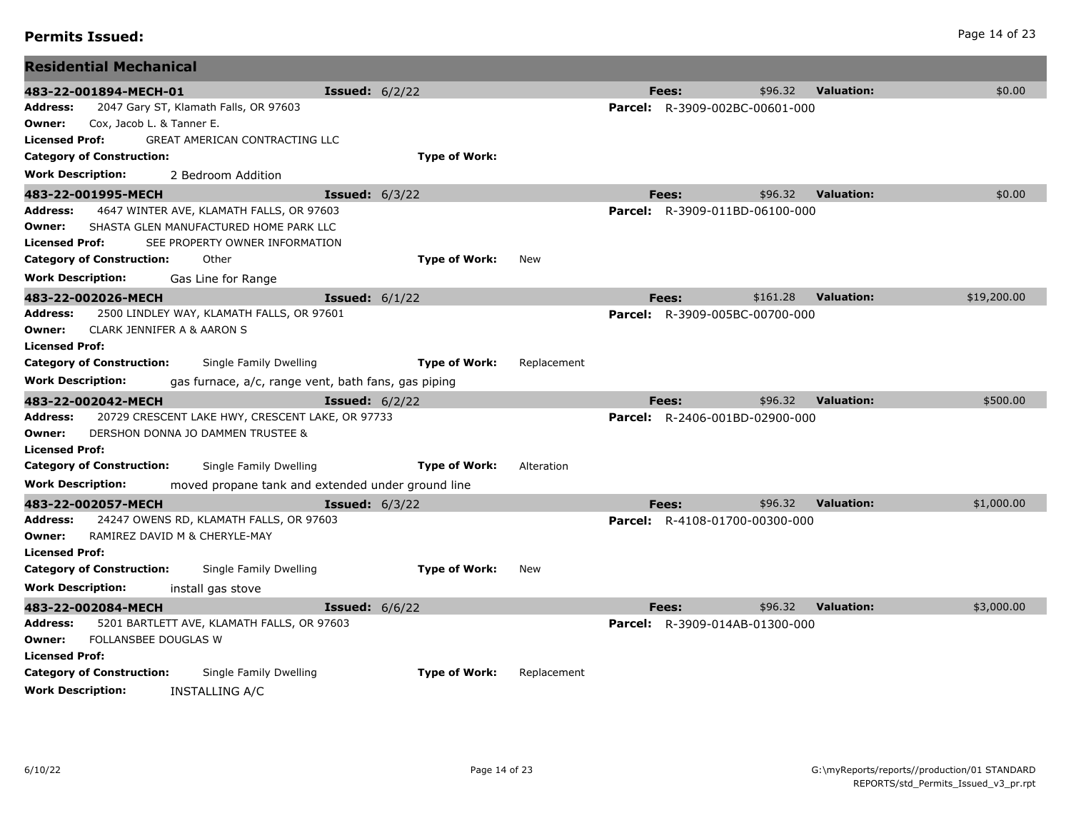| Page 14 of 23 |  |  |
|---------------|--|--|
|               |  |  |

## **Permits Issued:** Page 14 of 23

| <b>Residential Mechanical</b>                                                   |                                                   |             |                                       |          |                   |             |
|---------------------------------------------------------------------------------|---------------------------------------------------|-------------|---------------------------------------|----------|-------------------|-------------|
| 483-22-001894-MECH-01                                                           | <b>Issued:</b> $6/2/22$                           |             | Fees:                                 | \$96.32  | <b>Valuation:</b> | \$0.00      |
| 2047 Gary ST, Klamath Falls, OR 97603<br>Address:                               |                                                   |             | <b>Parcel:</b> R-3909-002BC-00601-000 |          |                   |             |
| Cox, Jacob L. & Tanner E.<br>Owner:                                             |                                                   |             |                                       |          |                   |             |
| GREAT AMERICAN CONTRACTING LLC<br><b>Licensed Prof:</b>                         |                                                   |             |                                       |          |                   |             |
| <b>Category of Construction:</b>                                                | <b>Type of Work:</b>                              |             |                                       |          |                   |             |
| <b>Work Description:</b><br>2 Bedroom Addition                                  |                                                   |             |                                       |          |                   |             |
| 483-22-001995-MECH                                                              | <b>Issued: 6/3/22</b>                             |             | Fees:                                 | \$96.32  | <b>Valuation:</b> | \$0.00      |
| Address:<br>4647 WINTER AVE, KLAMATH FALLS, OR 97603                            |                                                   |             | <b>Parcel:</b> R-3909-011BD-06100-000 |          |                   |             |
| SHASTA GLEN MANUFACTURED HOME PARK LLC<br>Owner:                                |                                                   |             |                                       |          |                   |             |
| <b>Licensed Prof:</b><br>SEE PROPERTY OWNER INFORMATION                         |                                                   |             |                                       |          |                   |             |
| <b>Category of Construction:</b><br>Other                                       | <b>Type of Work:</b>                              | <b>New</b>  |                                       |          |                   |             |
| <b>Work Description:</b><br>Gas Line for Range                                  |                                                   |             |                                       |          |                   |             |
| 483-22-002026-MECH                                                              | <b>Issued:</b> $6/1/22$                           |             | Fees:                                 | \$161.28 | <b>Valuation:</b> | \$19,200.00 |
| 2500 LINDLEY WAY, KLAMATH FALLS, OR 97601<br>Address:                           |                                                   |             | <b>Parcel:</b> R-3909-005BC-00700-000 |          |                   |             |
| CLARK JENNIFER A & AARON S<br>Owner:                                            |                                                   |             |                                       |          |                   |             |
| <b>Licensed Prof:</b>                                                           |                                                   |             |                                       |          |                   |             |
| <b>Category of Construction:</b><br>Single Family Dwelling                      | <b>Type of Work:</b>                              | Replacement |                                       |          |                   |             |
| <b>Work Description:</b><br>gas furnace, a/c, range vent, bath fans, gas piping |                                                   |             |                                       |          |                   |             |
| 483-22-002042-MECH                                                              | <b>Issued:</b> $6/2/22$                           |             | Fees:                                 | \$96.32  | <b>Valuation:</b> | \$500.00    |
| 20729 CRESCENT LAKE HWY, CRESCENT LAKE, OR 97733<br>Address:                    |                                                   |             | <b>Parcel:</b> R-2406-001BD-02900-000 |          |                   |             |
| DERSHON DONNA JO DAMMEN TRUSTEE &<br>Owner:                                     |                                                   |             |                                       |          |                   |             |
| <b>Licensed Prof:</b>                                                           |                                                   |             |                                       |          |                   |             |
| <b>Category of Construction:</b><br>Single Family Dwelling                      | <b>Type of Work:</b>                              | Alteration  |                                       |          |                   |             |
| <b>Work Description:</b>                                                        | moved propane tank and extended under ground line |             |                                       |          |                   |             |
| 483-22-002057-MECH                                                              | <b>Issued:</b> $6/3/22$                           |             | Fees:                                 | \$96.32  | <b>Valuation:</b> | \$1,000.00  |
| 24247 OWENS RD, KLAMATH FALLS, OR 97603<br>Address:                             |                                                   |             | Parcel: R-4108-01700-00300-000        |          |                   |             |
| RAMIREZ DAVID M & CHERYLE-MAY<br>Owner:                                         |                                                   |             |                                       |          |                   |             |
| <b>Licensed Prof:</b>                                                           |                                                   |             |                                       |          |                   |             |
| <b>Category of Construction:</b><br>Single Family Dwelling                      | <b>Type of Work:</b>                              | New         |                                       |          |                   |             |
| <b>Work Description:</b><br>install gas stove                                   |                                                   |             |                                       |          |                   |             |
| 483-22-002084-MECH                                                              | <b>Issued:</b> 6/6/22                             |             | Fees:                                 | \$96.32  | <b>Valuation:</b> | \$3,000.00  |
| 5201 BARTLETT AVE, KLAMATH FALLS, OR 97603<br>Address:                          |                                                   |             | <b>Parcel:</b> R-3909-014AB-01300-000 |          |                   |             |
| FOLLANSBEE DOUGLAS W<br>Owner:                                                  |                                                   |             |                                       |          |                   |             |
| <b>Licensed Prof:</b>                                                           |                                                   |             |                                       |          |                   |             |
| <b>Category of Construction:</b><br>Single Family Dwelling                      | <b>Type of Work:</b>                              | Replacement |                                       |          |                   |             |
| <b>Work Description:</b><br>INSTALLING A/C                                      |                                                   |             |                                       |          |                   |             |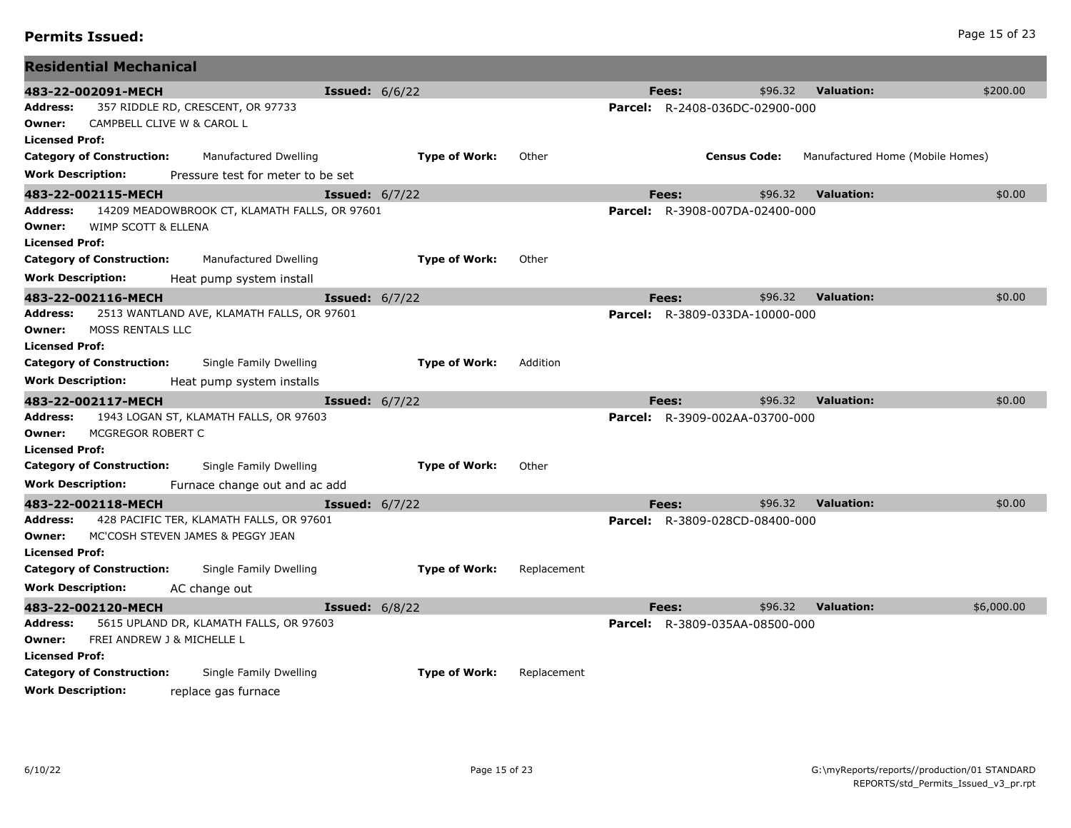| 483-22-002091-MECH               |                         |                                                                       | <b>Issued:</b> $6/6/22$ |                      |             | Fees:                                          | \$96.32             | <b>Valuation:</b> | \$200.00                         |
|----------------------------------|-------------------------|-----------------------------------------------------------------------|-------------------------|----------------------|-------------|------------------------------------------------|---------------------|-------------------|----------------------------------|
| Address:                         |                         | 357 RIDDLE RD, CRESCENT, OR 97733                                     |                         |                      |             | <b>Parcel:</b> R-2408-036DC-02900-000          |                     |                   |                                  |
| Owner:                           |                         | CAMPBELL CLIVE W & CAROL L                                            |                         |                      |             |                                                |                     |                   |                                  |
| Licensed Prof:                   |                         |                                                                       |                         |                      |             |                                                |                     |                   |                                  |
| <b>Category of Construction:</b> |                         | Manufactured Dwelling                                                 |                         | <b>Type of Work:</b> | Other       |                                                | <b>Census Code:</b> |                   | Manufactured Home (Mobile Homes) |
| <b>Work Description:</b>         |                         | Pressure test for meter to be set                                     |                         |                      |             |                                                |                     |                   |                                  |
| 483-22-002115-MECH               |                         |                                                                       | <b>Issued:</b> $6/7/22$ |                      |             | Fees:                                          | \$96.32             | <b>Valuation:</b> | \$0.00                           |
| Address:                         |                         | 14209 MEADOWBROOK CT, KLAMATH FALLS, OR 97601                         |                         |                      |             | Parcel: R-3908-007DA-02400-000                 |                     |                   |                                  |
| Owner:<br>Licensed Prof:         | WIMP SCOTT & ELLENA     |                                                                       |                         |                      |             |                                                |                     |                   |                                  |
| <b>Category of Construction:</b> |                         | Manufactured Dwelling                                                 |                         | <b>Type of Work:</b> | Other       |                                                |                     |                   |                                  |
| <b>Work Description:</b>         |                         |                                                                       |                         |                      |             |                                                |                     |                   |                                  |
|                                  |                         | Heat pump system install                                              |                         |                      |             |                                                |                     |                   |                                  |
| 483-22-002116-MECH<br>Address:   |                         | 2513 WANTLAND AVE, KLAMATH FALLS, OR 97601                            | <b>Issued:</b> 6/7/22   |                      |             | Fees:<br><b>Parcel:</b> R-3809-033DA-10000-000 | \$96.32             | <b>Valuation:</b> | \$0.00                           |
| Owner:                           | <b>MOSS RENTALS LLC</b> |                                                                       |                         |                      |             |                                                |                     |                   |                                  |
| Licensed Prof:                   |                         |                                                                       |                         |                      |             |                                                |                     |                   |                                  |
| <b>Category of Construction:</b> |                         | Single Family Dwelling                                                |                         | <b>Type of Work:</b> | Addition    |                                                |                     |                   |                                  |
| <b>Work Description:</b>         |                         | Heat pump system installs                                             |                         |                      |             |                                                |                     |                   |                                  |
| 483-22-002117-MECH               |                         |                                                                       | <b>Issued:</b> $6/7/22$ |                      |             | Fees:                                          | \$96.32             | <b>Valuation:</b> | \$0.00                           |
| Address:                         |                         | 1943 LOGAN ST, KLAMATH FALLS, OR 97603                                |                         |                      |             | <b>Parcel:</b> R-3909-002AA-03700-000          |                     |                   |                                  |
| Owner:                           | MCGREGOR ROBERT C       |                                                                       |                         |                      |             |                                                |                     |                   |                                  |
| <b>Licensed Prof:</b>            |                         |                                                                       |                         |                      |             |                                                |                     |                   |                                  |
| <b>Category of Construction:</b> |                         | Single Family Dwelling                                                |                         | <b>Type of Work:</b> | Other       |                                                |                     |                   |                                  |
| <b>Work Description:</b>         |                         | Furnace change out and ac add                                         |                         |                      |             |                                                |                     |                   |                                  |
| 483-22-002118-MECH               |                         |                                                                       | <b>Issued:</b> $6/7/22$ |                      |             | Fees:                                          | \$96.32             | <b>Valuation:</b> | \$0.00                           |
| Address:                         |                         | 428 PACIFIC TER, KLAMATH FALLS, OR 97601                              |                         |                      |             | <b>Parcel:</b> R-3809-028CD-08400-000          |                     |                   |                                  |
| Owner:                           |                         | MC'COSH STEVEN JAMES & PEGGY JEAN                                     |                         |                      |             |                                                |                     |                   |                                  |
| <b>Licensed Prof:</b>            |                         |                                                                       |                         |                      |             |                                                |                     |                   |                                  |
| <b>Category of Construction:</b> |                         | Single Family Dwelling                                                |                         | <b>Type of Work:</b> | Replacement |                                                |                     |                   |                                  |
| <b>Work Description:</b>         |                         | AC change out                                                         |                         |                      |             |                                                |                     |                   |                                  |
| 483-22-002120-MECH               |                         |                                                                       | <b>Issued:</b> $6/8/22$ |                      |             | Fees:                                          | \$96.32             | <b>Valuation:</b> | \$6,000.00                       |
| Address:<br>Owner:               |                         | 5615 UPLAND DR, KLAMATH FALLS, OR 97603<br>FREI ANDREW J & MICHELLE L |                         |                      |             | <b>Parcel:</b> R-3809-035AA-08500-000          |                     |                   |                                  |
| Licensed Prof:                   |                         |                                                                       |                         |                      |             |                                                |                     |                   |                                  |
| <b>Category of Construction:</b> |                         | Single Family Dwelling                                                |                         | <b>Type of Work:</b> | Replacement |                                                |                     |                   |                                  |
| <b>Work Description:</b>         |                         | replace gas furnace                                                   |                         |                      |             |                                                |                     |                   |                                  |

**Residential Mechanical**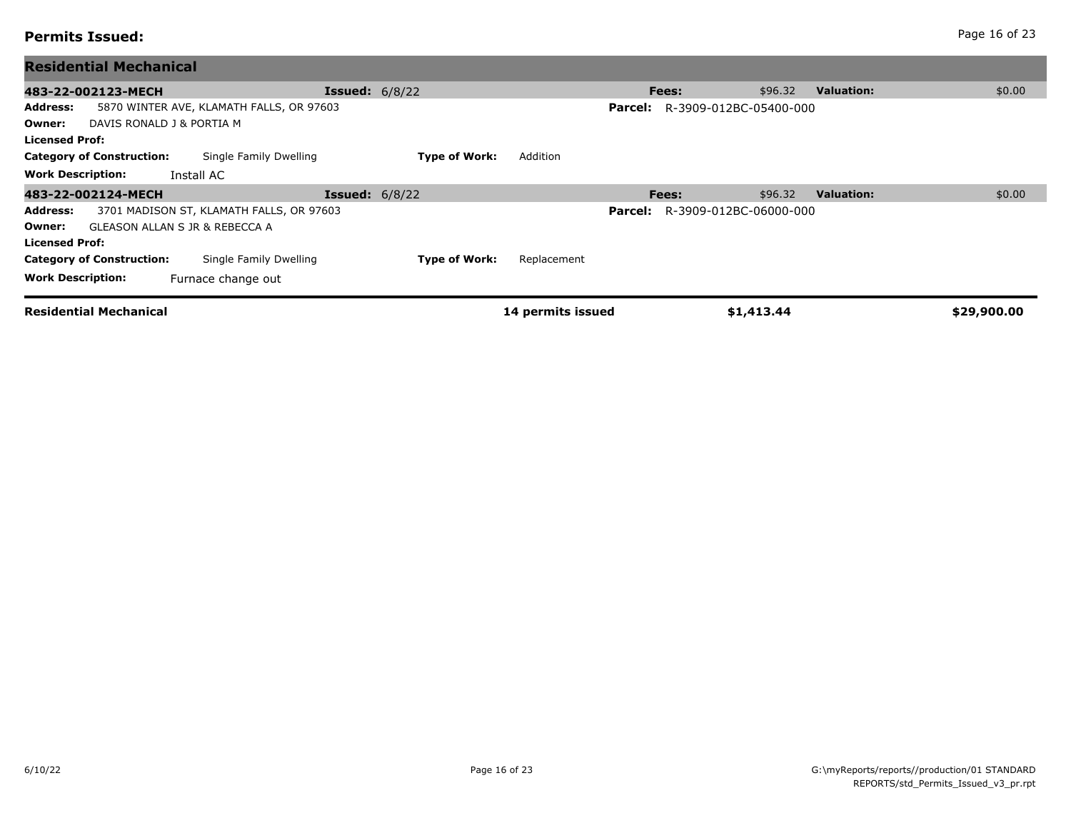| <b>Residential Mechanical</b>                                                                                 |                       |                      |                   |         |                        |            |                   |             |
|---------------------------------------------------------------------------------------------------------------|-----------------------|----------------------|-------------------|---------|------------------------|------------|-------------------|-------------|
| 483-22-002123-MECH                                                                                            | <b>Issued:</b> 6/8/22 |                      |                   |         | Fees:                  | \$96.32    | <b>Valuation:</b> | \$0.00      |
| 5870 WINTER AVE, KLAMATH FALLS, OR 97603<br>Address:<br>DAVIS RONALD J & PORTIA M<br>Owner:<br>Licensed Prof: |                       |                      |                   | Parcel: | R-3909-012BC-05400-000 |            |                   |             |
| <b>Category of Construction:</b><br>Single Family Dwelling                                                    |                       | <b>Type of Work:</b> | Addition          |         |                        |            |                   |             |
| <b>Work Description:</b><br>Install AC                                                                        |                       |                      |                   |         |                        |            |                   |             |
| 483-22-002124-MECH                                                                                            | <b>Issued:</b> 6/8/22 |                      |                   |         | Fees:                  | \$96.32    | <b>Valuation:</b> | \$0.00      |
| Address:<br>3701 MADISON ST, KLAMATH FALLS, OR 97603                                                          |                       |                      |                   | Parcel: | R-3909-012BC-06000-000 |            |                   |             |
| GLEASON ALLAN S JR & REBECCA A<br>Owner:                                                                      |                       |                      |                   |         |                        |            |                   |             |
| Licensed Prof:                                                                                                |                       |                      |                   |         |                        |            |                   |             |
| Single Family Dwelling<br><b>Category of Construction:</b>                                                    |                       | <b>Type of Work:</b> | Replacement       |         |                        |            |                   |             |
| <b>Work Description:</b><br>Furnace change out                                                                |                       |                      |                   |         |                        |            |                   |             |
| <b>Residential Mechanical</b>                                                                                 |                       |                      | 14 permits issued |         |                        | \$1,413.44 |                   | \$29,900.00 |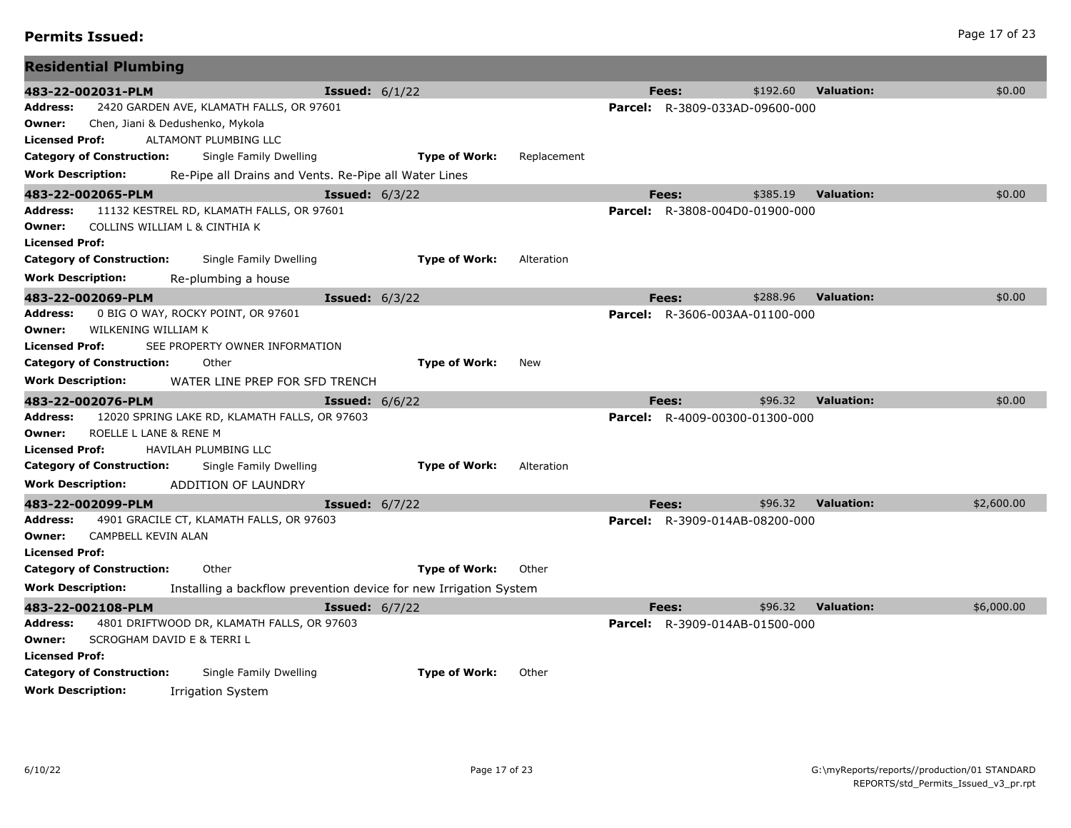# **Permits Issued:** Page 17 of 23

| <b>Residential Plumbing</b>                                                            |                                                                   |             |                                       |          |                   |            |
|----------------------------------------------------------------------------------------|-------------------------------------------------------------------|-------------|---------------------------------------|----------|-------------------|------------|
| 483-22-002031-PLM                                                                      | <b>Issued:</b> $6/1/22$                                           |             | Fees:                                 | \$192.60 | <b>Valuation:</b> | \$0.00     |
| 2420 GARDEN AVE, KLAMATH FALLS, OR 97601<br><b>Address:</b>                            |                                                                   |             | <b>Parcel:</b> R-3809-033AD-09600-000 |          |                   |            |
| Chen, Jiani & Dedushenko, Mykola<br>Owner:                                             |                                                                   |             |                                       |          |                   |            |
| ALTAMONT PLUMBING LLC<br><b>Licensed Prof:</b>                                         |                                                                   |             |                                       |          |                   |            |
| <b>Category of Construction:</b><br>Single Family Dwelling                             | <b>Type of Work:</b>                                              | Replacement |                                       |          |                   |            |
| <b>Work Description:</b>                                                               | Re-Pipe all Drains and Vents. Re-Pipe all Water Lines             |             |                                       |          |                   |            |
| 483-22-002065-PLM                                                                      | <b>Issued:</b> $6/3/22$                                           |             | <b>Fees:</b>                          | \$385.19 | <b>Valuation:</b> | \$0.00     |
| 11132 KESTREL RD, KLAMATH FALLS, OR 97601<br>Address:                                  |                                                                   |             | <b>Parcel:</b> R-3808-004D0-01900-000 |          |                   |            |
| COLLINS WILLIAM L & CINTHIA K<br>Owner:                                                |                                                                   |             |                                       |          |                   |            |
| <b>Licensed Prof:</b>                                                                  |                                                                   |             |                                       |          |                   |            |
| <b>Category of Construction:</b><br>Single Family Dwelling                             | <b>Type of Work:</b>                                              | Alteration  |                                       |          |                   |            |
| <b>Work Description:</b><br>Re-plumbing a house                                        |                                                                   |             |                                       |          |                   |            |
| 483-22-002069-PLM                                                                      | <b>Issued:</b> $6/3/22$                                           |             | Fees:                                 | \$288.96 | <b>Valuation:</b> | \$0.00     |
| 0 BIG O WAY, ROCKY POINT, OR 97601<br><b>Address:</b><br>WILKENING WILLIAM K<br>Owner: |                                                                   |             | <b>Parcel:</b> R-3606-003AA-01100-000 |          |                   |            |
| SEE PROPERTY OWNER INFORMATION<br><b>Licensed Prof:</b>                                |                                                                   |             |                                       |          |                   |            |
| <b>Category of Construction:</b><br>Other                                              | <b>Type of Work:</b>                                              | New         |                                       |          |                   |            |
| <b>Work Description:</b><br>WATER LINE PREP FOR SFD TRENCH                             |                                                                   |             |                                       |          |                   |            |
|                                                                                        |                                                                   |             | <b>Fees:</b>                          | \$96.32  | <b>Valuation:</b> | \$0.00     |
| 483-22-002076-PLM<br>12020 SPRING LAKE RD, KLAMATH FALLS, OR 97603<br>Address:         | <b>Issued:</b> $6/6/22$                                           |             | <b>Parcel:</b> R-4009-00300-01300-000 |          |                   |            |
| ROELLE L LANE & RENE M<br>Owner:                                                       |                                                                   |             |                                       |          |                   |            |
| <b>Licensed Prof:</b><br>HAVILAH PLUMBING LLC                                          |                                                                   |             |                                       |          |                   |            |
| <b>Category of Construction:</b><br>Single Family Dwelling                             | <b>Type of Work:</b>                                              | Alteration  |                                       |          |                   |            |
| <b>Work Description:</b><br>ADDITION OF LAUNDRY                                        |                                                                   |             |                                       |          |                   |            |
| 483-22-002099-PLM                                                                      | <b>Issued:</b> 6/7/22                                             |             | <b>Fees:</b>                          | \$96.32  | <b>Valuation:</b> | \$2,600.00 |
| 4901 GRACILE CT, KLAMATH FALLS, OR 97603<br>Address:                                   |                                                                   |             | <b>Parcel:</b> R-3909-014AB-08200-000 |          |                   |            |
| CAMPBELL KEVIN ALAN<br>Owner:                                                          |                                                                   |             |                                       |          |                   |            |
| <b>Licensed Prof:</b>                                                                  |                                                                   |             |                                       |          |                   |            |
| Other<br><b>Category of Construction:</b>                                              | <b>Type of Work:</b>                                              | Other       |                                       |          |                   |            |
| <b>Work Description:</b>                                                               | Installing a backflow prevention device for new Irrigation System |             |                                       |          |                   |            |
| 483-22-002108-PLM                                                                      | <b>Issued:</b> 6/7/22                                             |             | Fees:                                 | \$96.32  | <b>Valuation:</b> | \$6,000.00 |
| 4801 DRIFTWOOD DR, KLAMATH FALLS, OR 97603<br><b>Address:</b>                          |                                                                   |             | <b>Parcel:</b> R-3909-014AB-01500-000 |          |                   |            |
| SCROGHAM DAVID E & TERRI L<br>Owner:                                                   |                                                                   |             |                                       |          |                   |            |
| <b>Licensed Prof:</b>                                                                  |                                                                   |             |                                       |          |                   |            |
| <b>Category of Construction:</b><br>Single Family Dwelling                             | <b>Type of Work:</b>                                              | Other       |                                       |          |                   |            |
| <b>Work Description:</b><br><b>Irrigation System</b>                                   |                                                                   |             |                                       |          |                   |            |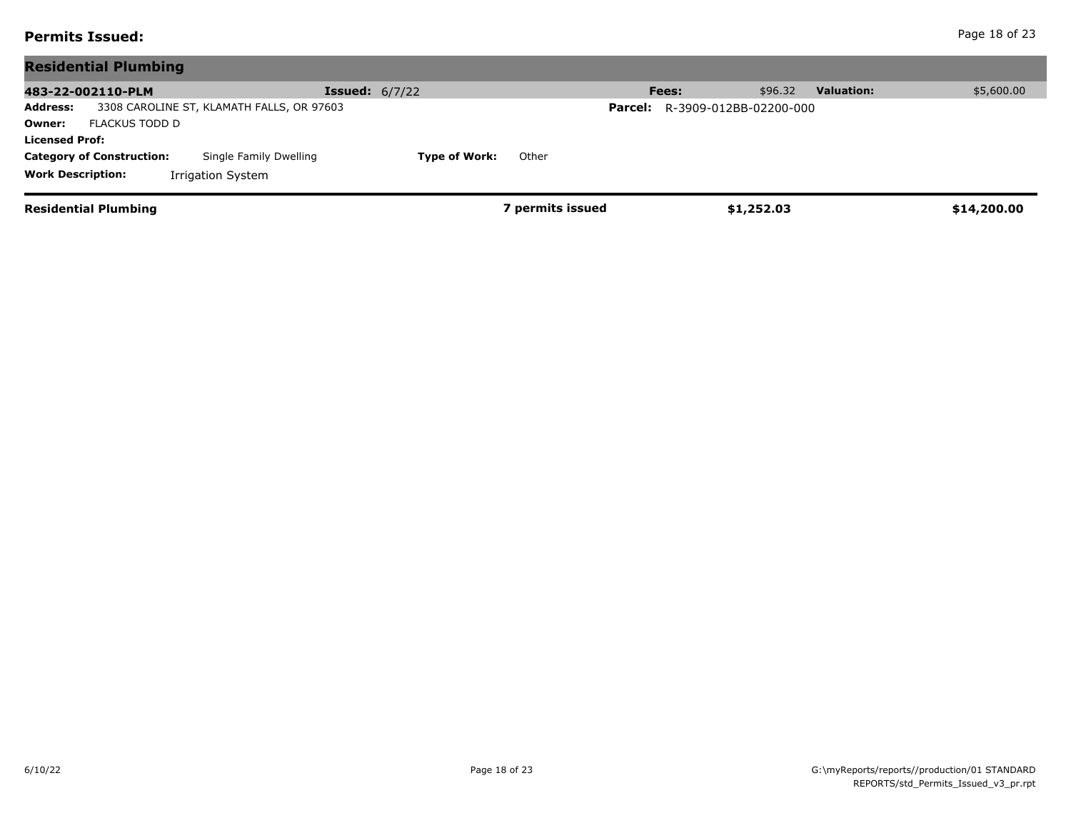# **Permits Issued:** Page 18 of 23

| <b>Residential Plumbing</b>                                  |                               |                                       |                              |             |
|--------------------------------------------------------------|-------------------------------|---------------------------------------|------------------------------|-------------|
| 483-22-002110-PLM                                            | <b>Issued:</b> $6/7/22$       | Fees:                                 | \$96.32<br><b>Valuation:</b> | \$5,600.00  |
| 3308 CAROLINE ST, KLAMATH FALLS, OR 97603<br><b>Address:</b> |                               | <b>Parcel:</b> R-3909-012BB-02200-000 |                              |             |
| FLACKUS TODD D<br>Owner:                                     |                               |                                       |                              |             |
| <b>Licensed Prof:</b>                                        |                               |                                       |                              |             |
| Single Family Dwelling<br><b>Category of Construction:</b>   | <b>Type of Work:</b><br>Other |                                       |                              |             |
| <b>Work Description:</b><br>Irrigation System                |                               |                                       |                              |             |
| <b>Residential Plumbing</b>                                  |                               | ' permits issued                      | \$1,252.03                   | \$14,200.00 |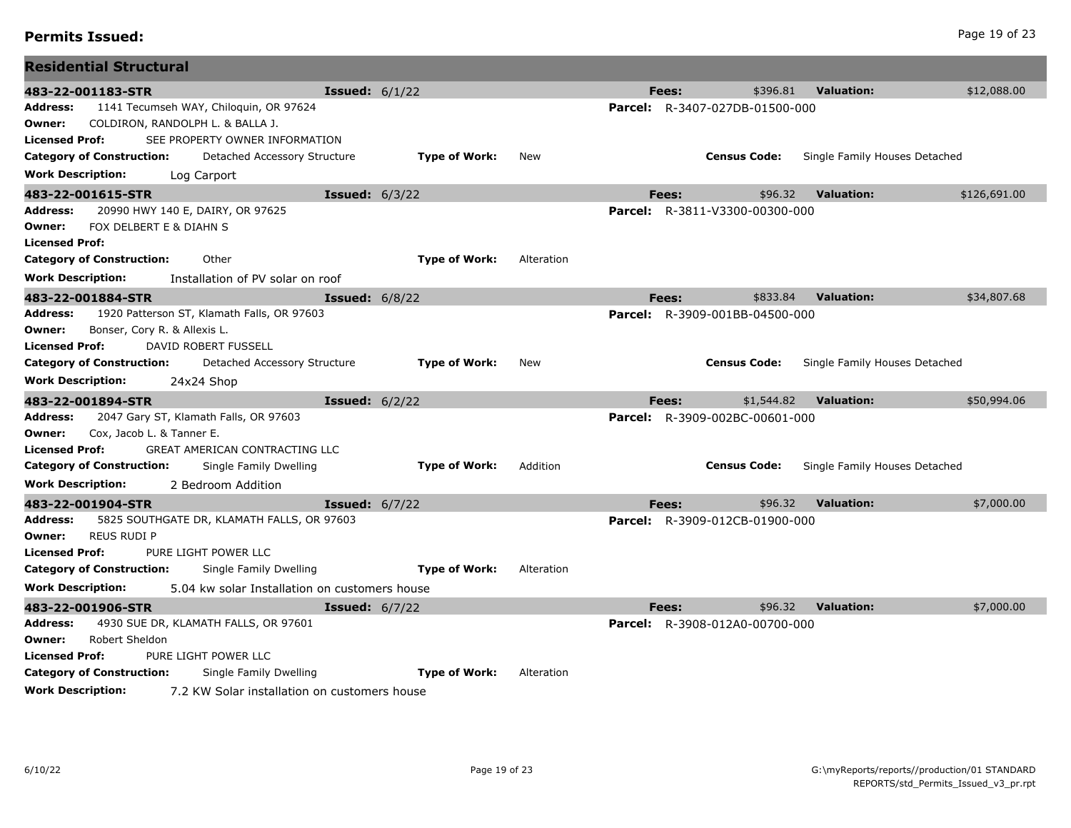|                          | <b>Residential Structural</b>    |                                               |                         |                      |            |         |       |                                       |                               |              |
|--------------------------|----------------------------------|-----------------------------------------------|-------------------------|----------------------|------------|---------|-------|---------------------------------------|-------------------------------|--------------|
|                          | 483-22-001183-STR                |                                               | <b>Issued:</b> $6/1/22$ |                      |            |         | Fees: | \$396.81                              | <b>Valuation:</b>             | \$12,088.00  |
| Address:                 |                                  | 1141 Tecumseh WAY, Chiloquin, OR 97624        |                         |                      |            |         |       | <b>Parcel:</b> R-3407-027DB-01500-000 |                               |              |
| Owner:                   |                                  | COLDIRON, RANDOLPH L. & BALLA J.              |                         |                      |            |         |       |                                       |                               |              |
| Licensed Prof:           |                                  | SEE PROPERTY OWNER INFORMATION                |                         |                      |            |         |       |                                       |                               |              |
|                          | Category of Construction:        | Detached Accessory Structure                  |                         | <b>Type of Work:</b> | New        |         |       | <b>Census Code:</b>                   | Single Family Houses Detached |              |
| <b>Work Description:</b> |                                  | Log Carport                                   |                         |                      |            |         |       |                                       |                               |              |
|                          | 483-22-001615-STR                |                                               | <b>Issued: 6/3/22</b>   |                      |            |         | Fees: | \$96.32                               | <b>Valuation:</b>             | \$126,691.00 |
| Address:<br>Owner:       | FOX DELBERT E & DIAHN S          | 20990 HWY 140 E, DAIRY, OR 97625              |                         |                      |            |         |       | <b>Parcel:</b> R-3811-V3300-00300-000 |                               |              |
| <b>Licensed Prof:</b>    |                                  |                                               |                         |                      |            |         |       |                                       |                               |              |
|                          | <b>Category of Construction:</b> | Other                                         |                         | <b>Type of Work:</b> | Alteration |         |       |                                       |                               |              |
| Work Description:        |                                  | Installation of PV solar on roof              |                         |                      |            |         |       |                                       |                               |              |
|                          | 483-22-001884-STR                |                                               | <b>Issued: 6/8/22</b>   |                      |            |         | Fees: | \$833.84                              | <b>Valuation:</b>             | \$34,807.68  |
| Address:                 |                                  | 1920 Patterson ST, Klamath Falls, OR 97603    |                         |                      |            |         |       | <b>Parcel:</b> R-3909-001BB-04500-000 |                               |              |
| Owner:                   | Bonser, Cory R. & Allexis L.     |                                               |                         |                      |            |         |       |                                       |                               |              |
| <b>Licensed Prof:</b>    |                                  | DAVID ROBERT FUSSELL                          |                         |                      |            |         |       |                                       |                               |              |
|                          | <b>Category of Construction:</b> | Detached Accessory Structure                  |                         | <b>Type of Work:</b> | New        |         |       | <b>Census Code:</b>                   | Single Family Houses Detached |              |
| <b>Work Description:</b> |                                  | 24x24 Shop                                    |                         |                      |            |         |       |                                       |                               |              |
|                          | 483-22-001894-STR                |                                               | <b>Issued:</b> $6/2/22$ |                      |            |         | Fees: | \$1,544.82                            | <b>Valuation:</b>             | \$50,994.06  |
| Address:                 |                                  | 2047 Gary ST, Klamath Falls, OR 97603         |                         |                      |            |         |       | <b>Parcel:</b> R-3909-002BC-00601-000 |                               |              |
| Owner:                   | Cox, Jacob L. & Tanner E.        |                                               |                         |                      |            |         |       |                                       |                               |              |
| <b>Licensed Prof:</b>    |                                  | <b>GREAT AMERICAN CONTRACTING LLC</b>         |                         |                      |            |         |       |                                       |                               |              |
|                          | <b>Category of Construction:</b> | Single Family Dwelling                        |                         | <b>Type of Work:</b> | Addition   |         |       | <b>Census Code:</b>                   | Single Family Houses Detached |              |
| <b>Work Description:</b> |                                  | 2 Bedroom Addition                            |                         |                      |            |         |       |                                       |                               |              |
|                          | 483-22-001904-STR                |                                               | <b>Issued:</b> 6/7/22   |                      |            |         | Fees: | \$96.32                               | <b>Valuation:</b>             | \$7,000.00   |
| Address:<br>Owner:       | <b>REUS RUDI P</b>               | 5825 SOUTHGATE DR, KLAMATH FALLS, OR 97603    |                         |                      |            |         |       | <b>Parcel:</b> R-3909-012CB-01900-000 |                               |              |
| <b>Licensed Prof:</b>    |                                  | PURE LIGHT POWER LLC                          |                         |                      |            |         |       |                                       |                               |              |
|                          | <b>Category of Construction:</b> | Single Family Dwelling                        |                         | <b>Type of Work:</b> | Alteration |         |       |                                       |                               |              |
| <b>Work Description:</b> |                                  | 5.04 kw solar Installation on customers house |                         |                      |            |         |       |                                       |                               |              |
|                          | 483-22-001906-STR                |                                               | <b>Issued:</b> $6/7/22$ |                      |            |         | Fees: | \$96.32                               | <b>Valuation:</b>             | \$7,000.00   |
| Address:                 |                                  | 4930 SUE DR, KLAMATH FALLS, OR 97601          |                         |                      |            | Parcel: |       | R-3908-012A0-00700-000                |                               |              |
| Owner:                   | Robert Sheldon                   |                                               |                         |                      |            |         |       |                                       |                               |              |
| <b>Licensed Prof:</b>    |                                  | PURE LIGHT POWER LLC                          |                         |                      |            |         |       |                                       |                               |              |
|                          | <b>Category of Construction:</b> | Single Family Dwelling                        |                         | <b>Type of Work:</b> | Alteration |         |       |                                       |                               |              |
| <b>Work Description:</b> |                                  | 7.2 KW Solar installation on customers house  |                         |                      |            |         |       |                                       |                               |              |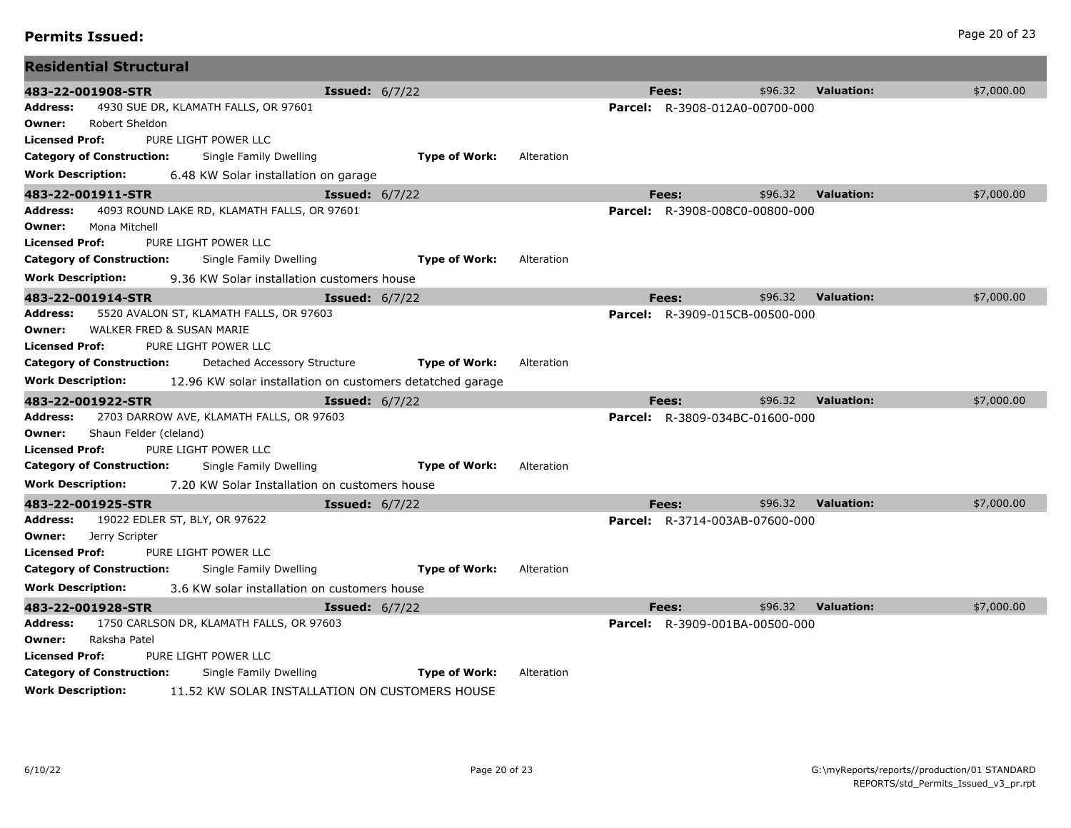| 483-22-001908-STR                                |                                               |                                                           |            |         | Fees:                                 | \$96.32 | <b>Valuation:</b> | \$7,000.00 |
|--------------------------------------------------|-----------------------------------------------|-----------------------------------------------------------|------------|---------|---------------------------------------|---------|-------------------|------------|
| <b>Address:</b>                                  | 4930 SUE DR, KLAMATH FALLS, OR 97601          | <b>Issued:</b> $6/7/22$                                   |            |         |                                       |         |                   |            |
| Robert Sheldon<br>Owner:                         |                                               |                                                           |            |         | <b>Parcel:</b> R-3908-012A0-00700-000 |         |                   |            |
| <b>Licensed Prof:</b>                            | PURE LIGHT POWER LLC                          |                                                           |            |         |                                       |         |                   |            |
| <b>Category of Construction:</b>                 | Single Family Dwelling                        | <b>Type of Work:</b>                                      | Alteration |         |                                       |         |                   |            |
|                                                  |                                               |                                                           |            |         |                                       |         |                   |            |
| <b>Work Description:</b>                         | 6.48 KW Solar installation on garage          |                                                           |            |         |                                       |         |                   |            |
| 483-22-001911-STR                                |                                               | <b>Issued:</b> $6/7/22$                                   |            |         | Fees:                                 | \$96.32 | <b>Valuation:</b> | \$7,000.00 |
| Address:                                         | 4093 ROUND LAKE RD, KLAMATH FALLS, OR 97601   |                                                           |            |         | <b>Parcel:</b> R-3908-008C0-00800-000 |         |                   |            |
| Mona Mitchell<br>Owner:<br><b>Licensed Prof:</b> | PURE LIGHT POWER LLC                          |                                                           |            |         |                                       |         |                   |            |
|                                                  |                                               |                                                           |            |         |                                       |         |                   |            |
| <b>Category of Construction:</b>                 | Single Family Dwelling                        | <b>Type of Work:</b>                                      | Alteration |         |                                       |         |                   |            |
| <b>Work Description:</b>                         | 9.36 KW Solar installation customers house    |                                                           |            |         |                                       |         |                   |            |
| 483-22-001914-STR                                |                                               | <b>Issued:</b> 6/7/22                                     |            |         | Fees:                                 | \$96.32 | <b>Valuation:</b> | \$7,000.00 |
| <b>Address:</b>                                  | 5520 AVALON ST, KLAMATH FALLS, OR 97603       |                                                           |            | Parcel: | R-3909-015CB-00500-000                |         |                   |            |
| Owner:                                           | WALKER FRED & SUSAN MARIE                     |                                                           |            |         |                                       |         |                   |            |
| <b>Licensed Prof:</b>                            | PURE LIGHT POWER LLC                          |                                                           |            |         |                                       |         |                   |            |
| <b>Category of Construction:</b>                 | Detached Accessory Structure                  | <b>Type of Work:</b>                                      | Alteration |         |                                       |         |                   |            |
| <b>Work Description:</b>                         |                                               | 12.96 KW solar installation on customers detatched garage |            |         |                                       |         |                   |            |
| 483-22-001922-STR                                |                                               | <b>Issued:</b> $6/7/22$                                   |            |         | Fees:                                 | \$96.32 | <b>Valuation:</b> | \$7,000.00 |
| <b>Address:</b>                                  | 2703 DARROW AVE, KLAMATH FALLS, OR 97603      |                                                           |            |         | Parcel: R-3809-034BC-01600-000        |         |                   |            |
| Shaun Felder (cleland)<br>Owner:                 |                                               |                                                           |            |         |                                       |         |                   |            |
| <b>Licensed Prof:</b>                            | PURE LIGHT POWER LLC                          |                                                           |            |         |                                       |         |                   |            |
| <b>Category of Construction:</b>                 | Single Family Dwelling                        | <b>Type of Work:</b>                                      | Alteration |         |                                       |         |                   |            |
| <b>Work Description:</b>                         | 7.20 KW Solar Installation on customers house |                                                           |            |         |                                       |         |                   |            |
| 483-22-001925-STR                                |                                               | <b>Issued:</b> 6/7/22                                     |            |         | Fees:                                 | \$96.32 | <b>Valuation:</b> | \$7,000.00 |
| <b>Address:</b>                                  | 19022 EDLER ST, BLY, OR 97622                 |                                                           |            |         | <b>Parcel:</b> R-3714-003AB-07600-000 |         |                   |            |
| Owner:<br>Jerry Scripter                         |                                               |                                                           |            |         |                                       |         |                   |            |
| <b>Licensed Prof:</b>                            | PURE LIGHT POWER LLC                          |                                                           |            |         |                                       |         |                   |            |
| <b>Category of Construction:</b>                 | Single Family Dwelling                        | <b>Type of Work:</b>                                      | Alteration |         |                                       |         |                   |            |
| <b>Work Description:</b>                         | 3.6 KW solar installation on customers house  |                                                           |            |         |                                       |         |                   |            |
| 483-22-001928-STR                                |                                               | <b>Issued:</b> $6/7/22$                                   |            |         | Fees:                                 | \$96.32 | <b>Valuation:</b> | \$7,000.00 |
| Address:                                         | 1750 CARLSON DR, KLAMATH FALLS, OR 97603      |                                                           |            |         | <b>Parcel:</b> R-3909-001BA-00500-000 |         |                   |            |
| Raksha Patel<br>Owner:                           |                                               |                                                           |            |         |                                       |         |                   |            |
| <b>Licensed Prof:</b>                            | PURE LIGHT POWER LLC                          |                                                           |            |         |                                       |         |                   |            |
| <b>Category of Construction:</b>                 | Single Family Dwelling                        | <b>Type of Work:</b>                                      | Alteration |         |                                       |         |                   |            |
| <b>Work Description:</b>                         |                                               | 11.52 KW SOLAR INSTALLATION ON CUSTOMERS HOUSE            |            |         |                                       |         |                   |            |

**Residential Structural**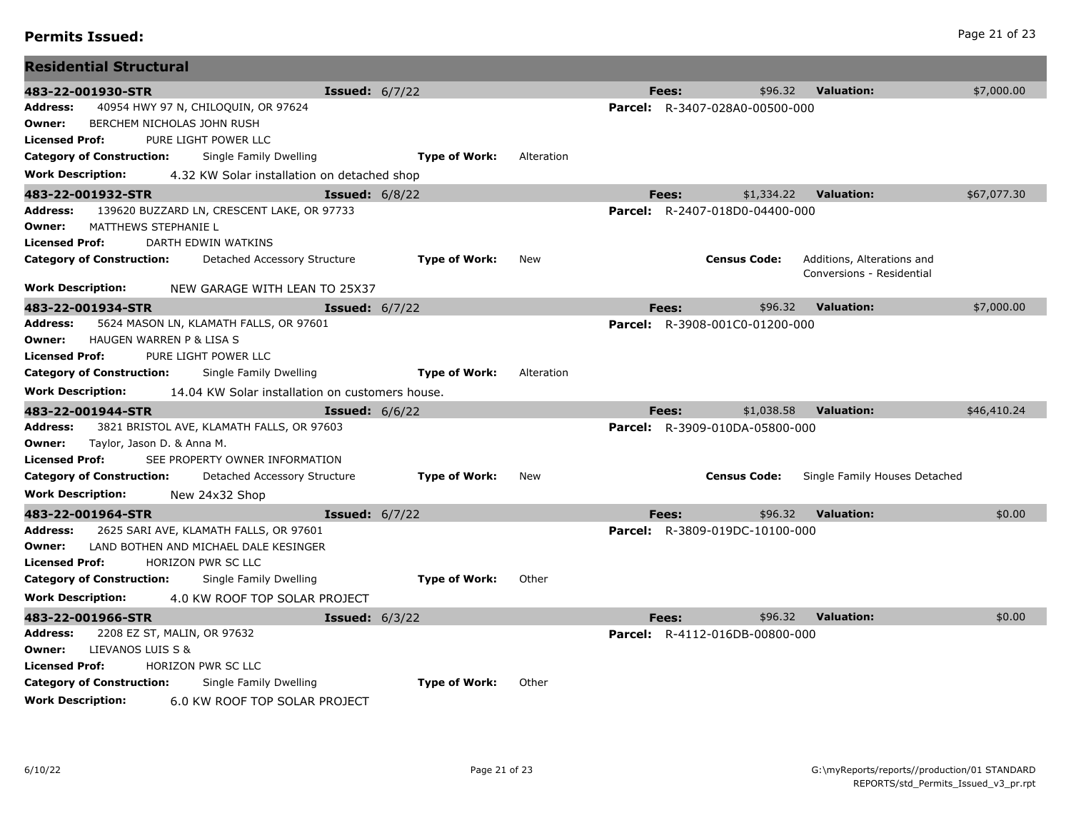## **Permits Issued:** Page 21 of 23

| \$96.32<br><b>Valuation:</b><br>\$7,000.00<br>483-22-001930-STR<br><b>Issued:</b> $6/7/22$<br>Fees:<br>40954 HWY 97 N, CHILOQUIN, OR 97624<br><b>Parcel:</b> R-3407-028A0-00500-000<br>Address:<br>BERCHEM NICHOLAS JOHN RUSH<br>Owner:<br>PURE LIGHT POWER LLC<br><b>Licensed Prof:</b><br><b>Type of Work:</b><br><b>Category of Construction:</b><br>Single Family Dwelling<br>Alteration<br><b>Work Description:</b><br>4.32 KW Solar installation on detached shop<br><b>Valuation:</b><br>\$1,334.22<br>\$67,077.30<br>483-22-001932-STR<br><b>Issued:</b> 6/8/22<br>Fees:<br>Address:<br>139620 BUZZARD LN, CRESCENT LAKE, OR 97733<br><b>Parcel:</b> R-2407-018D0-04400-000<br>MATTHEWS STEPHANIE L<br>Owner:<br><b>Licensed Prof:</b><br>DARTH EDWIN WATKINS<br><b>Category of Construction:</b><br>Detached Accessory Structure<br><b>Type of Work:</b><br>New<br><b>Census Code:</b><br>Additions, Alterations and<br>Conversions - Residential<br><b>Work Description:</b><br>NEW GARAGE WITH LEAN TO 25X37<br><b>Valuation:</b><br>\$7,000.00<br>483-22-001934-STR<br>\$96.32<br><b>Issued:</b> $6/7/22$<br>Fees:<br>5624 MASON LN, KLAMATH FALLS, OR 97601<br>Address:<br><b>Parcel:</b> R-3908-001C0-01200-000<br>HAUGEN WARREN P & LISA S<br>Owner:<br>PURE LIGHT POWER LLC<br><b>Licensed Prof:</b><br><b>Category of Construction:</b><br>Single Family Dwelling<br><b>Type of Work:</b><br>Alteration<br><b>Work Description:</b><br>14.04 KW Solar installation on customers house.<br>\$1,038.58<br><b>Valuation:</b><br>\$46,410.24<br>483-22-001944-STR<br>Fees:<br><b>Issued:</b> $6/6/22$<br>3821 BRISTOL AVE, KLAMATH FALLS, OR 97603<br>Address:<br><b>Parcel:</b> R-3909-010DA-05800-000 | <b>Residential Structural</b> |  |  |  |  |
|----------------------------------------------------------------------------------------------------------------------------------------------------------------------------------------------------------------------------------------------------------------------------------------------------------------------------------------------------------------------------------------------------------------------------------------------------------------------------------------------------------------------------------------------------------------------------------------------------------------------------------------------------------------------------------------------------------------------------------------------------------------------------------------------------------------------------------------------------------------------------------------------------------------------------------------------------------------------------------------------------------------------------------------------------------------------------------------------------------------------------------------------------------------------------------------------------------------------------------------------------------------------------------------------------------------------------------------------------------------------------------------------------------------------------------------------------------------------------------------------------------------------------------------------------------------------------------------------------------------------------------------------------------------------------------------------------------------------|-------------------------------|--|--|--|--|
|                                                                                                                                                                                                                                                                                                                                                                                                                                                                                                                                                                                                                                                                                                                                                                                                                                                                                                                                                                                                                                                                                                                                                                                                                                                                                                                                                                                                                                                                                                                                                                                                                                                                                                                      |                               |  |  |  |  |
|                                                                                                                                                                                                                                                                                                                                                                                                                                                                                                                                                                                                                                                                                                                                                                                                                                                                                                                                                                                                                                                                                                                                                                                                                                                                                                                                                                                                                                                                                                                                                                                                                                                                                                                      |                               |  |  |  |  |
|                                                                                                                                                                                                                                                                                                                                                                                                                                                                                                                                                                                                                                                                                                                                                                                                                                                                                                                                                                                                                                                                                                                                                                                                                                                                                                                                                                                                                                                                                                                                                                                                                                                                                                                      |                               |  |  |  |  |
|                                                                                                                                                                                                                                                                                                                                                                                                                                                                                                                                                                                                                                                                                                                                                                                                                                                                                                                                                                                                                                                                                                                                                                                                                                                                                                                                                                                                                                                                                                                                                                                                                                                                                                                      |                               |  |  |  |  |
|                                                                                                                                                                                                                                                                                                                                                                                                                                                                                                                                                                                                                                                                                                                                                                                                                                                                                                                                                                                                                                                                                                                                                                                                                                                                                                                                                                                                                                                                                                                                                                                                                                                                                                                      |                               |  |  |  |  |
|                                                                                                                                                                                                                                                                                                                                                                                                                                                                                                                                                                                                                                                                                                                                                                                                                                                                                                                                                                                                                                                                                                                                                                                                                                                                                                                                                                                                                                                                                                                                                                                                                                                                                                                      |                               |  |  |  |  |
|                                                                                                                                                                                                                                                                                                                                                                                                                                                                                                                                                                                                                                                                                                                                                                                                                                                                                                                                                                                                                                                                                                                                                                                                                                                                                                                                                                                                                                                                                                                                                                                                                                                                                                                      |                               |  |  |  |  |
|                                                                                                                                                                                                                                                                                                                                                                                                                                                                                                                                                                                                                                                                                                                                                                                                                                                                                                                                                                                                                                                                                                                                                                                                                                                                                                                                                                                                                                                                                                                                                                                                                                                                                                                      |                               |  |  |  |  |
|                                                                                                                                                                                                                                                                                                                                                                                                                                                                                                                                                                                                                                                                                                                                                                                                                                                                                                                                                                                                                                                                                                                                                                                                                                                                                                                                                                                                                                                                                                                                                                                                                                                                                                                      |                               |  |  |  |  |
|                                                                                                                                                                                                                                                                                                                                                                                                                                                                                                                                                                                                                                                                                                                                                                                                                                                                                                                                                                                                                                                                                                                                                                                                                                                                                                                                                                                                                                                                                                                                                                                                                                                                                                                      |                               |  |  |  |  |
|                                                                                                                                                                                                                                                                                                                                                                                                                                                                                                                                                                                                                                                                                                                                                                                                                                                                                                                                                                                                                                                                                                                                                                                                                                                                                                                                                                                                                                                                                                                                                                                                                                                                                                                      |                               |  |  |  |  |
|                                                                                                                                                                                                                                                                                                                                                                                                                                                                                                                                                                                                                                                                                                                                                                                                                                                                                                                                                                                                                                                                                                                                                                                                                                                                                                                                                                                                                                                                                                                                                                                                                                                                                                                      |                               |  |  |  |  |
|                                                                                                                                                                                                                                                                                                                                                                                                                                                                                                                                                                                                                                                                                                                                                                                                                                                                                                                                                                                                                                                                                                                                                                                                                                                                                                                                                                                                                                                                                                                                                                                                                                                                                                                      |                               |  |  |  |  |
|                                                                                                                                                                                                                                                                                                                                                                                                                                                                                                                                                                                                                                                                                                                                                                                                                                                                                                                                                                                                                                                                                                                                                                                                                                                                                                                                                                                                                                                                                                                                                                                                                                                                                                                      |                               |  |  |  |  |
|                                                                                                                                                                                                                                                                                                                                                                                                                                                                                                                                                                                                                                                                                                                                                                                                                                                                                                                                                                                                                                                                                                                                                                                                                                                                                                                                                                                                                                                                                                                                                                                                                                                                                                                      |                               |  |  |  |  |
|                                                                                                                                                                                                                                                                                                                                                                                                                                                                                                                                                                                                                                                                                                                                                                                                                                                                                                                                                                                                                                                                                                                                                                                                                                                                                                                                                                                                                                                                                                                                                                                                                                                                                                                      |                               |  |  |  |  |
|                                                                                                                                                                                                                                                                                                                                                                                                                                                                                                                                                                                                                                                                                                                                                                                                                                                                                                                                                                                                                                                                                                                                                                                                                                                                                                                                                                                                                                                                                                                                                                                                                                                                                                                      |                               |  |  |  |  |
|                                                                                                                                                                                                                                                                                                                                                                                                                                                                                                                                                                                                                                                                                                                                                                                                                                                                                                                                                                                                                                                                                                                                                                                                                                                                                                                                                                                                                                                                                                                                                                                                                                                                                                                      |                               |  |  |  |  |
|                                                                                                                                                                                                                                                                                                                                                                                                                                                                                                                                                                                                                                                                                                                                                                                                                                                                                                                                                                                                                                                                                                                                                                                                                                                                                                                                                                                                                                                                                                                                                                                                                                                                                                                      |                               |  |  |  |  |
|                                                                                                                                                                                                                                                                                                                                                                                                                                                                                                                                                                                                                                                                                                                                                                                                                                                                                                                                                                                                                                                                                                                                                                                                                                                                                                                                                                                                                                                                                                                                                                                                                                                                                                                      |                               |  |  |  |  |
| Taylor, Jason D. & Anna M.<br>Owner:                                                                                                                                                                                                                                                                                                                                                                                                                                                                                                                                                                                                                                                                                                                                                                                                                                                                                                                                                                                                                                                                                                                                                                                                                                                                                                                                                                                                                                                                                                                                                                                                                                                                                 |                               |  |  |  |  |
| SEE PROPERTY OWNER INFORMATION<br><b>Licensed Prof:</b>                                                                                                                                                                                                                                                                                                                                                                                                                                                                                                                                                                                                                                                                                                                                                                                                                                                                                                                                                                                                                                                                                                                                                                                                                                                                                                                                                                                                                                                                                                                                                                                                                                                              |                               |  |  |  |  |
| <b>Category of Construction:</b><br><b>Type of Work:</b><br><b>Census Code:</b><br>Single Family Houses Detached<br>Detached Accessory Structure<br>New                                                                                                                                                                                                                                                                                                                                                                                                                                                                                                                                                                                                                                                                                                                                                                                                                                                                                                                                                                                                                                                                                                                                                                                                                                                                                                                                                                                                                                                                                                                                                              |                               |  |  |  |  |
| <b>Work Description:</b><br>New 24x32 Shop                                                                                                                                                                                                                                                                                                                                                                                                                                                                                                                                                                                                                                                                                                                                                                                                                                                                                                                                                                                                                                                                                                                                                                                                                                                                                                                                                                                                                                                                                                                                                                                                                                                                           |                               |  |  |  |  |
| <b>Valuation:</b><br>\$0.00<br>\$96.32<br><b>Issued:</b> $6/7/22$<br>Fees:<br>483-22-001964-STR                                                                                                                                                                                                                                                                                                                                                                                                                                                                                                                                                                                                                                                                                                                                                                                                                                                                                                                                                                                                                                                                                                                                                                                                                                                                                                                                                                                                                                                                                                                                                                                                                      |                               |  |  |  |  |
| Address:<br>2625 SARI AVE, KLAMATH FALLS, OR 97601<br><b>Parcel:</b> R-3809-019DC-10100-000                                                                                                                                                                                                                                                                                                                                                                                                                                                                                                                                                                                                                                                                                                                                                                                                                                                                                                                                                                                                                                                                                                                                                                                                                                                                                                                                                                                                                                                                                                                                                                                                                          |                               |  |  |  |  |
| LAND BOTHEN AND MICHAEL DALE KESINGER<br>Owner:                                                                                                                                                                                                                                                                                                                                                                                                                                                                                                                                                                                                                                                                                                                                                                                                                                                                                                                                                                                                                                                                                                                                                                                                                                                                                                                                                                                                                                                                                                                                                                                                                                                                      |                               |  |  |  |  |
| <b>Licensed Prof:</b><br>HORIZON PWR SC LLC                                                                                                                                                                                                                                                                                                                                                                                                                                                                                                                                                                                                                                                                                                                                                                                                                                                                                                                                                                                                                                                                                                                                                                                                                                                                                                                                                                                                                                                                                                                                                                                                                                                                          |                               |  |  |  |  |
| <b>Type of Work:</b><br><b>Category of Construction:</b><br>Single Family Dwelling<br>Other                                                                                                                                                                                                                                                                                                                                                                                                                                                                                                                                                                                                                                                                                                                                                                                                                                                                                                                                                                                                                                                                                                                                                                                                                                                                                                                                                                                                                                                                                                                                                                                                                          |                               |  |  |  |  |
| <b>Work Description:</b><br>4.0 KW ROOF TOP SOLAR PROJECT                                                                                                                                                                                                                                                                                                                                                                                                                                                                                                                                                                                                                                                                                                                                                                                                                                                                                                                                                                                                                                                                                                                                                                                                                                                                                                                                                                                                                                                                                                                                                                                                                                                            |                               |  |  |  |  |
| \$96.32<br><b>Valuation:</b><br>\$0.00<br>483-22-001966-STR<br><b>Issued:</b> $6/3/22$<br>Fees:                                                                                                                                                                                                                                                                                                                                                                                                                                                                                                                                                                                                                                                                                                                                                                                                                                                                                                                                                                                                                                                                                                                                                                                                                                                                                                                                                                                                                                                                                                                                                                                                                      |                               |  |  |  |  |
| 2208 EZ ST, MALIN, OR 97632<br><b>Parcel:</b> R-4112-016DB-00800-000<br>Address:<br>LIEVANOS LUIS S &                                                                                                                                                                                                                                                                                                                                                                                                                                                                                                                                                                                                                                                                                                                                                                                                                                                                                                                                                                                                                                                                                                                                                                                                                                                                                                                                                                                                                                                                                                                                                                                                                |                               |  |  |  |  |
| Owner:<br>HORIZON PWR SC LLC<br><b>Licensed Prof:</b>                                                                                                                                                                                                                                                                                                                                                                                                                                                                                                                                                                                                                                                                                                                                                                                                                                                                                                                                                                                                                                                                                                                                                                                                                                                                                                                                                                                                                                                                                                                                                                                                                                                                |                               |  |  |  |  |
|                                                                                                                                                                                                                                                                                                                                                                                                                                                                                                                                                                                                                                                                                                                                                                                                                                                                                                                                                                                                                                                                                                                                                                                                                                                                                                                                                                                                                                                                                                                                                                                                                                                                                                                      |                               |  |  |  |  |
| <b>Work Description:</b><br>6.0 KW ROOF TOP SOLAR PROJECT                                                                                                                                                                                                                                                                                                                                                                                                                                                                                                                                                                                                                                                                                                                                                                                                                                                                                                                                                                                                                                                                                                                                                                                                                                                                                                                                                                                                                                                                                                                                                                                                                                                            |                               |  |  |  |  |
| <b>Category of Construction:</b><br>Single Family Dwelling<br><b>Type of Work:</b><br>Other                                                                                                                                                                                                                                                                                                                                                                                                                                                                                                                                                                                                                                                                                                                                                                                                                                                                                                                                                                                                                                                                                                                                                                                                                                                                                                                                                                                                                                                                                                                                                                                                                          |                               |  |  |  |  |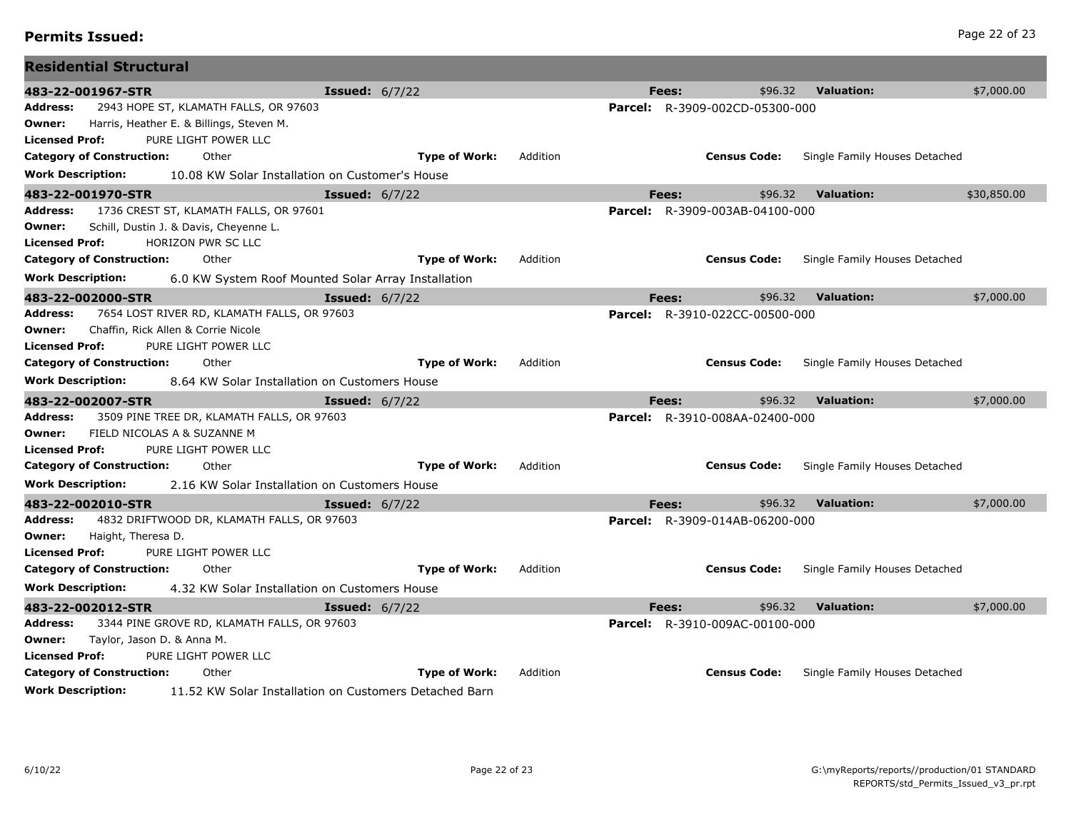| <b>Residential Structural</b>                                            |                         |                      |          |       |                                       |                               |             |
|--------------------------------------------------------------------------|-------------------------|----------------------|----------|-------|---------------------------------------|-------------------------------|-------------|
| 483-22-001967-STR                                                        | <b>Issued:</b> $6/7/22$ |                      |          | Fees: | \$96.32                               | <b>Valuation:</b>             | \$7,000.00  |
| Address:<br>2943 HOPE ST, KLAMATH FALLS, OR 97603                        |                         |                      |          |       | <b>Parcel:</b> R-3909-002CD-05300-000 |                               |             |
| Harris, Heather E. & Billings, Steven M.<br>Owner:                       |                         |                      |          |       |                                       |                               |             |
| PURE LIGHT POWER LLC<br>Licensed Prof:                                   |                         |                      |          |       |                                       |                               |             |
| <b>Category of Construction:</b><br>Other                                |                         | <b>Type of Work:</b> | Addition |       | <b>Census Code:</b>                   | Single Family Houses Detached |             |
| Work Description:<br>10.08 KW Solar Installation on Customer's House     |                         |                      |          |       |                                       |                               |             |
| 483-22-001970-STR                                                        | <b>Issued:</b> $6/7/22$ |                      |          | Fees: | \$96.32                               | <b>Valuation:</b>             | \$30,850.00 |
| Address:<br>1736 CREST ST, KLAMATH FALLS, OR 97601                       |                         |                      |          |       | Parcel: R-3909-003AB-04100-000        |                               |             |
| Schill, Dustin J. & Davis, Cheyenne L.<br>Owner:                         |                         |                      |          |       |                                       |                               |             |
| <b>Licensed Prof:</b><br>HORIZON PWR SC LLC                              |                         |                      |          |       |                                       |                               |             |
| <b>Category of Construction:</b><br>Other                                |                         | <b>Type of Work:</b> | Addition |       | <b>Census Code:</b>                   | Single Family Houses Detached |             |
| Work Description:<br>6.0 KW System Roof Mounted Solar Array Installation |                         |                      |          |       |                                       |                               |             |
| 483-22-002000-STR                                                        | <b>Issued:</b> 6/7/22   |                      |          | Fees: | \$96.32                               | <b>Valuation:</b>             | \$7,000.00  |
| Address:<br>7654 LOST RIVER RD, KLAMATH FALLS, OR 97603                  |                         |                      |          |       | <b>Parcel:</b> R-3910-022CC-00500-000 |                               |             |
| Chaffin, Rick Allen & Corrie Nicole<br>Owner:                            |                         |                      |          |       |                                       |                               |             |
| PURE LIGHT POWER LLC<br>Licensed Prof:                                   |                         |                      |          |       |                                       |                               |             |
| <b>Category of Construction:</b><br>Other                                |                         | <b>Type of Work:</b> | Addition |       | <b>Census Code:</b>                   | Single Family Houses Detached |             |
| Work Description:<br>8.64 KW Solar Installation on Customers House       |                         |                      |          |       |                                       |                               |             |
| 483-22-002007-STR                                                        | <b>Issued:</b> $6/7/22$ |                      |          | Fees: | \$96.32                               | <b>Valuation:</b>             | \$7,000.00  |
| 3509 PINE TREE DR, KLAMATH FALLS, OR 97603<br>Address:                   |                         |                      |          |       | <b>Parcel:</b> R-3910-008AA-02400-000 |                               |             |
| FIELD NICOLAS A & SUZANNE M<br>Owner:                                    |                         |                      |          |       |                                       |                               |             |
| PURE LIGHT POWER LLC<br>Licensed Prof:                                   |                         |                      |          |       |                                       |                               |             |
| <b>Category of Construction:</b><br>Other                                |                         | <b>Type of Work:</b> | Addition |       | <b>Census Code:</b>                   | Single Family Houses Detached |             |
| Work Description:<br>2.16 KW Solar Installation on Customers House       |                         |                      |          |       |                                       |                               |             |
| 483-22-002010-STR                                                        | <b>Issued:</b> $6/7/22$ |                      |          | Fees: | \$96.32                               | <b>Valuation:</b>             | \$7,000.00  |
| 4832 DRIFTWOOD DR, KLAMATH FALLS, OR 97603<br>Address:                   |                         |                      |          |       | <b>Parcel:</b> R-3909-014AB-06200-000 |                               |             |
| Haight, Theresa D.<br>Owner:                                             |                         |                      |          |       |                                       |                               |             |
| <b>Licensed Prof:</b><br>PURE LIGHT POWER LLC                            |                         |                      |          |       |                                       |                               |             |
| <b>Category of Construction:</b><br>Other                                |                         | <b>Type of Work:</b> | Addition |       | <b>Census Code:</b>                   | Single Family Houses Detached |             |
| Work Description:<br>4.32 KW Solar Installation on Customers House       |                         |                      |          |       |                                       |                               |             |
| 483-22-002012-STR                                                        | <b>Issued:</b> $6/7/22$ |                      |          | Fees: | \$96.32                               | <b>Valuation:</b>             | \$7,000.00  |
| 3344 PINE GROVE RD, KLAMATH FALLS, OR 97603<br>Address:                  |                         |                      |          |       | <b>Parcel:</b> R-3910-009AC-00100-000 |                               |             |
| Taylor, Jason D. & Anna M.<br>Owner:                                     |                         |                      |          |       |                                       |                               |             |
| Licensed Prof:<br>PURE LIGHT POWER LLC                                   |                         |                      |          |       |                                       |                               |             |
| <b>Category of Construction:</b><br>Other                                |                         | <b>Type of Work:</b> | Addition |       | <b>Census Code:</b>                   | Single Family Houses Detached |             |

**Work Description:** 11.52 KW Solar Installation on Customers Detached Barn